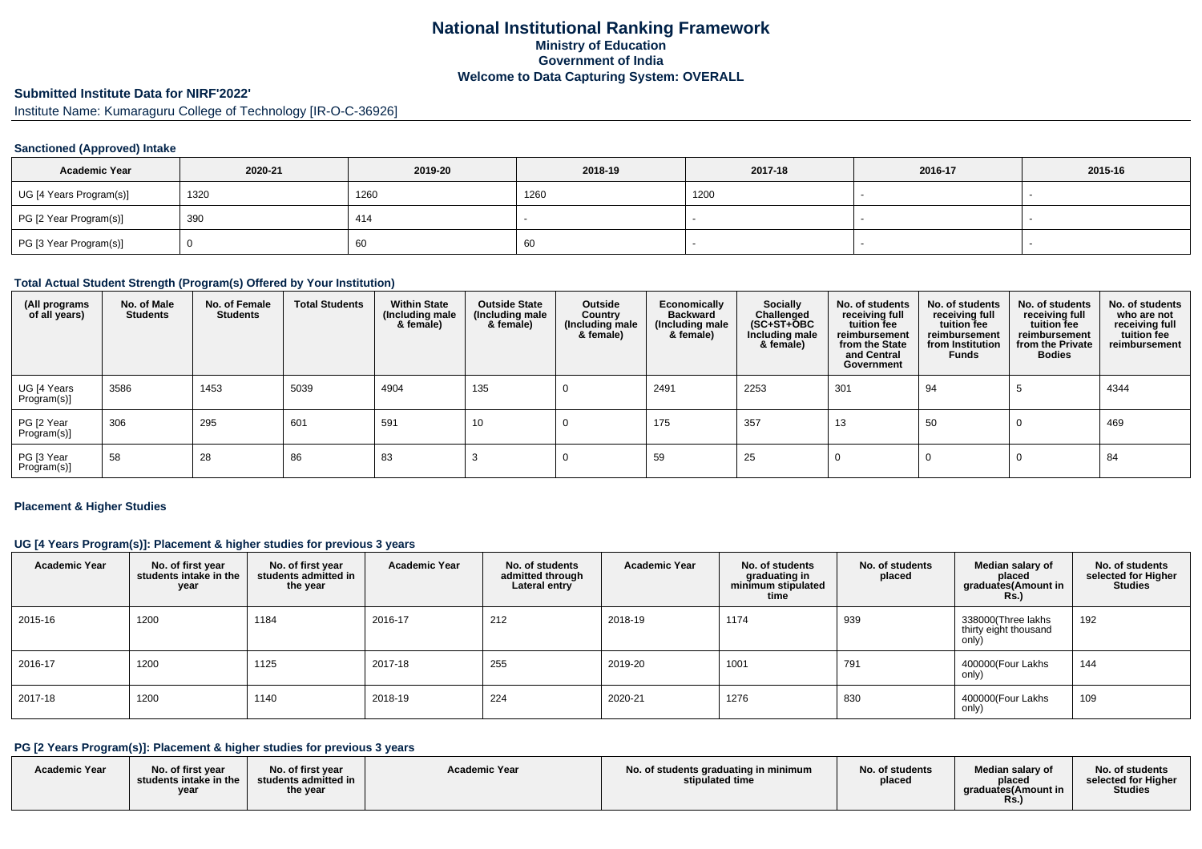# **National Institutional Ranking FrameworkMinistry of Education Government of IndiaWelcome to Data Capturing System: OVERALL**

# **Submitted Institute Data for NIRF'2022'**

Institute Name: Kumaraguru College of Technology [IR-O-C-36926]

### **Sanctioned (Approved) Intake**

| <b>Academic Year</b>    | 2020-21 | 2019-20 | 2018-19 | 2017-18 | 2016-17 | 2015-16 |
|-------------------------|---------|---------|---------|---------|---------|---------|
| UG [4 Years Program(s)] | 1320    | 1260    | 1260    | 1200    |         |         |
| PG [2 Year Program(s)]  | 390     | 414     |         |         |         |         |
| PG [3 Year Program(s)]  |         | 60      | 60      |         |         |         |

#### **Total Actual Student Strength (Program(s) Offered by Your Institution)**

| (All programs<br>of all years) | No. of Male<br><b>Students</b> | No. of Female<br><b>Students</b> | <b>Total Students</b> | <b>Within State</b><br>(Including male<br>& female) | <b>Outside State</b><br>(Including male<br>& female) | Outside<br>Country<br>(Including male<br>& female) | Economically<br><b>Backward</b><br>(Including male<br>& female) | Socially<br>Challenged<br>$(SC+ST+\text{O}BC)$<br>Including male<br>& female) | No. of students<br>receiving full<br>tuition fee<br>reimbursement<br>from the State<br>and Central<br>Government | No. of students<br>receiving full<br>tuition fee<br>reimbursement<br>from Institution<br>Funds | No. of students<br>receiving full<br>tuition fee<br>reimbursement<br>from the Private<br><b>Bodies</b> | No. of students<br>who are not<br>receiving full<br>tuition fee<br>reimbursement |
|--------------------------------|--------------------------------|----------------------------------|-----------------------|-----------------------------------------------------|------------------------------------------------------|----------------------------------------------------|-----------------------------------------------------------------|-------------------------------------------------------------------------------|------------------------------------------------------------------------------------------------------------------|------------------------------------------------------------------------------------------------|--------------------------------------------------------------------------------------------------------|----------------------------------------------------------------------------------|
| UG [4 Years<br>Program(s)]     | 3586                           | 1453                             | 5039                  | 4904                                                | 135                                                  |                                                    | 2491                                                            | 2253                                                                          | 301                                                                                                              | 94                                                                                             |                                                                                                        | 4344                                                                             |
| PG [2 Year<br>Program(s)]      | 306                            | 295                              | 601                   | 591                                                 | 10                                                   |                                                    | 175                                                             | 357                                                                           | 13                                                                                                               | 50                                                                                             |                                                                                                        | 469                                                                              |
| PG [3 Year<br>Program(s)]      | 58                             | 28                               | 86                    | 83                                                  |                                                      |                                                    | 59                                                              | 25                                                                            |                                                                                                                  |                                                                                                |                                                                                                        | 84                                                                               |

### **Placement & Higher Studies**

#### **UG [4 Years Program(s)]: Placement & higher studies for previous 3 years**

| <b>Academic Year</b> | No. of first year<br>students intake in the<br>year | No. of first year<br>students admitted in<br>the year | <b>Academic Year</b> | No. of students<br>admitted through<br>Lateral entry | <b>Academic Year</b> | No. of students<br>graduating in<br>minimum stipulated<br>time | No. of students<br>placed | Median salary of<br>placed<br>graduates(Amount in<br>Rs.) | No. of students<br>selected for Higher<br><b>Studies</b> |
|----------------------|-----------------------------------------------------|-------------------------------------------------------|----------------------|------------------------------------------------------|----------------------|----------------------------------------------------------------|---------------------------|-----------------------------------------------------------|----------------------------------------------------------|
| 2015-16              | 1200                                                | 1184                                                  | 2016-17              | 212                                                  | 2018-19              | 1174                                                           | 939                       | 338000(Three lakhs<br>thirty eight thousand<br>only)      | 192                                                      |
| 2016-17              | 1200                                                | 1125                                                  | 2017-18              | 255                                                  | 2019-20              | 1001                                                           | 791                       | 400000(Four Lakhs<br>only)                                | 144                                                      |
| 2017-18              | 1200                                                | 1140                                                  | 2018-19              | 224                                                  | 2020-21              | 1276                                                           | 830                       | 400000(Four Lakhs<br>only)                                | 109                                                      |

### **PG [2 Years Program(s)]: Placement & higher studies for previous 3 years**

| <b>Academic Year</b> | No. of first year<br>students intake in the<br>year | No. of first year<br>students admitted in<br>the year | <b>Academic Year</b> | No. of students graduating in minimum<br>stipulated time | No. of students<br>placed | Median salary of<br>placed<br>araduates(Amount in<br>Rs. | No. of students<br>selected for Higher<br><b>Studies</b> |
|----------------------|-----------------------------------------------------|-------------------------------------------------------|----------------------|----------------------------------------------------------|---------------------------|----------------------------------------------------------|----------------------------------------------------------|
|----------------------|-----------------------------------------------------|-------------------------------------------------------|----------------------|----------------------------------------------------------|---------------------------|----------------------------------------------------------|----------------------------------------------------------|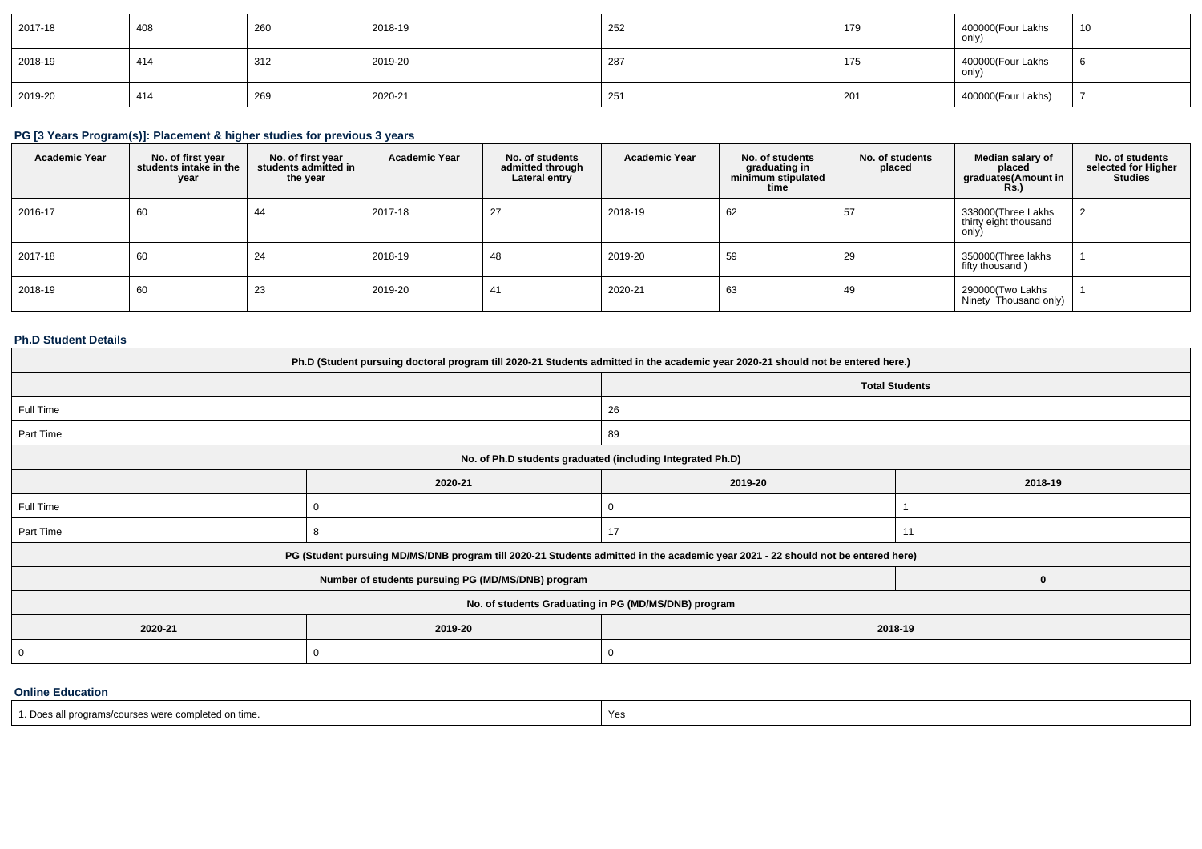| 2017-18 | 408 | 260 | 2018-19 | 252 | 179 | 400000(Four Lakhs<br>only) | 10 |
|---------|-----|-----|---------|-----|-----|----------------------------|----|
| 2018-19 | 414 | 312 | 2019-20 | 287 | 175 | 400000(Four Lakhs<br>only) |    |
| 2019-20 | 414 | 269 | 2020-21 | 251 | 201 | 400000(Four Lakhs)         |    |

# **PG [3 Years Program(s)]: Placement & higher studies for previous 3 years**

| <b>Academic Year</b> | No. of first year<br>students intake in the<br>year | No. of first vear<br>students admitted in<br>the year | <b>Academic Year</b> | No. of students<br>admitted through<br>Lateral entry | <b>Academic Year</b> | No. of students<br>graduating in<br>minimum stipulated<br>time | No. of students<br>placed | Median salary of<br>placed<br>graduates(Amount in<br><b>Rs.</b> ) | No. of students<br>selected for Higher<br><b>Studies</b> |
|----------------------|-----------------------------------------------------|-------------------------------------------------------|----------------------|------------------------------------------------------|----------------------|----------------------------------------------------------------|---------------------------|-------------------------------------------------------------------|----------------------------------------------------------|
| 2016-17              | 60                                                  | 44                                                    | 2017-18              | 27                                                   | 2018-19              | 62                                                             | 57                        | 338000(Three Lakhs<br>thirty eight thousand<br>only)              |                                                          |
| 2017-18              | 60                                                  | 24                                                    | 2018-19              | 48                                                   | 2019-20              | 59                                                             | 29                        | 350000(Three lakhs<br>fifty thousand)                             |                                                          |
| 2018-19              | 60                                                  | 23                                                    | 2019-20              | 41                                                   | 2020-21              | 63                                                             | 49                        | 290000(Two Lakhs<br>Ninety Thousand only)                         |                                                          |

# **Ph.D Student Details**

| Ph.D (Student pursuing doctoral program till 2020-21 Students admitted in the academic year 2020-21 should not be entered here.) |                                                                                                                                  |                                                            |                |  |  |  |  |
|----------------------------------------------------------------------------------------------------------------------------------|----------------------------------------------------------------------------------------------------------------------------------|------------------------------------------------------------|----------------|--|--|--|--|
|                                                                                                                                  |                                                                                                                                  | <b>Total Students</b>                                      |                |  |  |  |  |
| Full Time                                                                                                                        |                                                                                                                                  | 26                                                         |                |  |  |  |  |
| Part Time                                                                                                                        |                                                                                                                                  | 89                                                         |                |  |  |  |  |
|                                                                                                                                  |                                                                                                                                  | No. of Ph.D students graduated (including Integrated Ph.D) |                |  |  |  |  |
|                                                                                                                                  | 2020-21                                                                                                                          | 2019-20<br>2018-19                                         |                |  |  |  |  |
| Full Time                                                                                                                        |                                                                                                                                  |                                                            |                |  |  |  |  |
| Part Time                                                                                                                        |                                                                                                                                  | 17                                                         | 1 <sup>1</sup> |  |  |  |  |
|                                                                                                                                  | PG (Student pursuing MD/MS/DNB program till 2020-21 Students admitted in the academic year 2021 - 22 should not be entered here) |                                                            |                |  |  |  |  |
|                                                                                                                                  | Number of students pursuing PG (MD/MS/DNB) program                                                                               |                                                            | $\bf{0}$       |  |  |  |  |
|                                                                                                                                  | No. of students Graduating in PG (MD/MS/DNB) program                                                                             |                                                            |                |  |  |  |  |
| 2020-21<br>2019-20<br>2018-19                                                                                                    |                                                                                                                                  |                                                            |                |  |  |  |  |
|                                                                                                                                  |                                                                                                                                  | 0                                                          |                |  |  |  |  |

### **Online Education**

| <sup>1</sup> Does all programs/courses were completed on time.<br>Yes |  |
|-----------------------------------------------------------------------|--|
|-----------------------------------------------------------------------|--|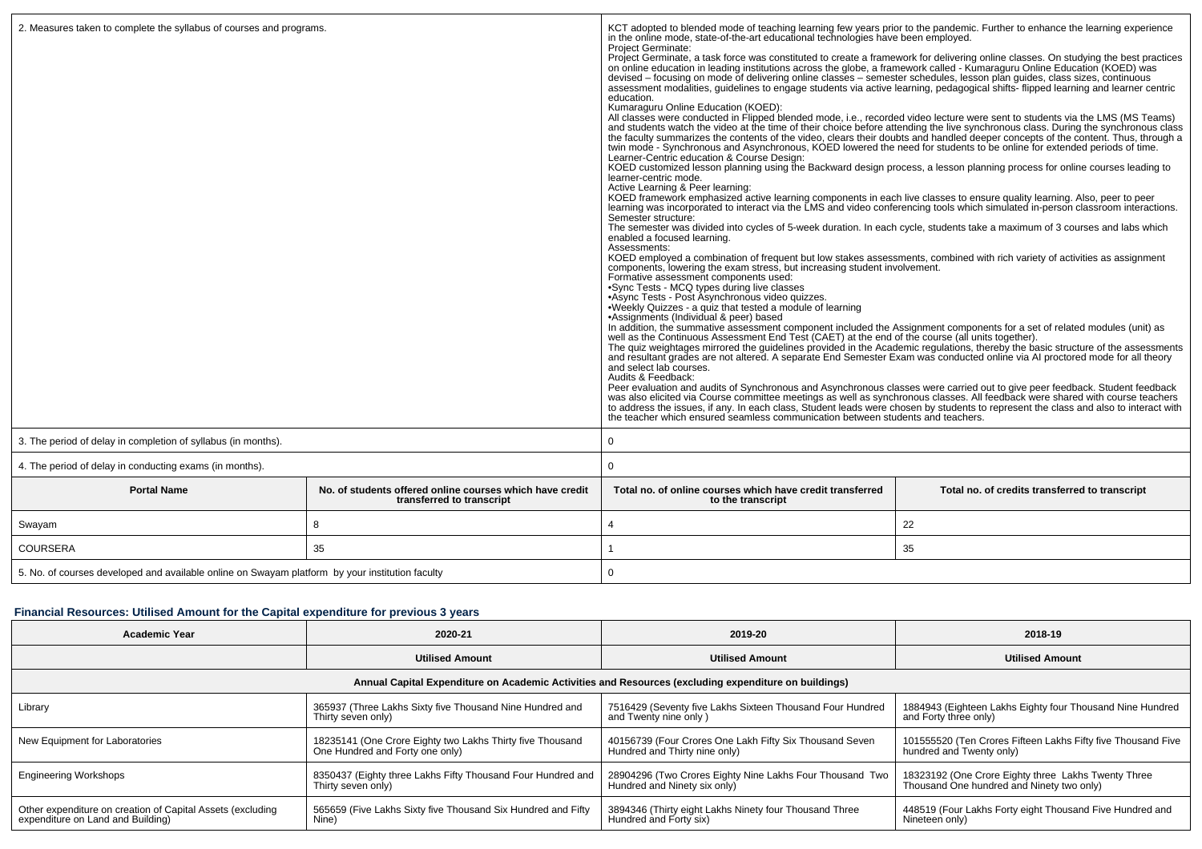| 2. Measures taken to complete the syllabus of courses and programs.<br>3. The period of delay in completion of syllabus (in months). |                                                                                       | KCT adopted to blended mode of teaching learning few years prior to the pandemic. Further to enhance the learning experience in the online mode, state-of-the-art educational technologies have been employed.<br><b>Project Germinate:</b><br>Project Germinate, a task force was constituted to create a framework for delivering online classes. On studying the best practices on online education in leading institutions across the globe, a framework called - Kumarag<br>devised – focusing on mode of delivering online classes – semester schedules, lesson plan quides, class sizes, continuous<br>assessment modalities, guidelines to engage students via active learning, pedagogical shifts- flipped learning and learner centric<br>education.<br>Kumaraguru Online Education (KOED):<br>All classes were conducted in Flipped blended mode, i.e., recorded video lecture were sent to students via the LMS (MS Teams) and students watch the video at the time of their choice before attending the live synchronous c<br>the faculty summarizes the contents of the video, clears their doubts and handled deeper concepts of the content. Thus, through a<br>twin mode - Synchronous and Asynchronous, KOED lowered the need for students to be online for extended periods of time.<br>Learner-Centric education & Course Design:<br>KOED customized lesson planning using the Backward design process, a lesson planning process for online courses leading to<br>learner-centric mode.<br>Active Learning & Peer learning:<br>KOED framework emphasized active learning components in each live classes to ensure quality learning. Also, peer to peer<br>learning was incorporated to interact via the LMS and video conferencing tools which simulated in-person classroom interactions.<br>Semester structure:<br>The semester was divided into cycles of 5-week duration. In each cycle, students take a maximum of 3 courses and labs which<br>enabled a focused learning.<br>Assessments:<br>KOED employed a combination of frequent but low stakes assessments, combined with rich variety of activities as assignment<br>components, lowering the exam stress, but increasing student involvement.<br>Formative assessment components used:<br>.Sync Tests - MCQ types during live classes<br>•Async Tests - Post Asynchronous video quizzes.<br>•Weekly Quizzes - a quiz that tested a module of learning<br>•Assignments (Individual & peer) based<br>In addition, the summative assessment component included the Assignment components for a set of related modules (unit) as<br>well as the Continuous Assessment End Test (CAET) at the end of the course (all units together).<br>The quiz weightages mirrored the quidelines provided in the Academic regulations, thereby the basic structure of the assessments<br>and resultant grades are not altered. A separate End Semester Exam was conducted online via AI proctored mode for all theory<br>and select lab courses.<br>Audits & Feedback:<br>Peer evaluation and audits of Synchronous and Asynchronous classes were carried out to give peer feedback. Student feedback<br>was also elicited via Course committee meetings as well as synchronous classes. All feedback were<br>to address the issues, if any. In each class, Student leads were chosen by students to represent the class and also to interact with<br>the teacher which ensured seamless communication between students and teachers.<br>0 |                                                |  |
|--------------------------------------------------------------------------------------------------------------------------------------|---------------------------------------------------------------------------------------|--------------------------------------------------------------------------------------------------------------------------------------------------------------------------------------------------------------------------------------------------------------------------------------------------------------------------------------------------------------------------------------------------------------------------------------------------------------------------------------------------------------------------------------------------------------------------------------------------------------------------------------------------------------------------------------------------------------------------------------------------------------------------------------------------------------------------------------------------------------------------------------------------------------------------------------------------------------------------------------------------------------------------------------------------------------------------------------------------------------------------------------------------------------------------------------------------------------------------------------------------------------------------------------------------------------------------------------------------------------------------------------------------------------------------------------------------------------------------------------------------------------------------------------------------------------------------------------------------------------------------------------------------------------------------------------------------------------------------------------------------------------------------------------------------------------------------------------------------------------------------------------------------------------------------------------------------------------------------------------------------------------------------------------------------------------------------------------------------------------------------------------------------------------------------------------------------------------------------------------------------------------------------------------------------------------------------------------------------------------------------------------------------------------------------------------------------------------------------------------------------------------------------------------------------------------------------------------------------------------------------------------------------------------------------------------------------------------------------------------------------------------------------------------------------------------------------------------------------------------------------------------------------------------------------------------------------------------------------------------------------------------------------------------------------------------------------------------------------------------------------------------------------------------------------------------------------------------------------------------------------------------------------------------------------------------------------------------------------------------------------------------------------------------------------------------------------------------------------------------------------------------|------------------------------------------------|--|
| 4. The period of delay in conducting exams (in months).                                                                              |                                                                                       | $\Omega$                                                                                                                                                                                                                                                                                                                                                                                                                                                                                                                                                                                                                                                                                                                                                                                                                                                                                                                                                                                                                                                                                                                                                                                                                                                                                                                                                                                                                                                                                                                                                                                                                                                                                                                                                                                                                                                                                                                                                                                                                                                                                                                                                                                                                                                                                                                                                                                                                                                                                                                                                                                                                                                                                                                                                                                                                                                                                                                                                                                                                                                                                                                                                                                                                                                                                                                                                                                                                                                                                                     |                                                |  |
| <b>Portal Name</b>                                                                                                                   | No. of students offered online courses which have credit<br>transferred to transcript | Total no, of online courses which have credit transferred<br>to the transcript                                                                                                                                                                                                                                                                                                                                                                                                                                                                                                                                                                                                                                                                                                                                                                                                                                                                                                                                                                                                                                                                                                                                                                                                                                                                                                                                                                                                                                                                                                                                                                                                                                                                                                                                                                                                                                                                                                                                                                                                                                                                                                                                                                                                                                                                                                                                                                                                                                                                                                                                                                                                                                                                                                                                                                                                                                                                                                                                                                                                                                                                                                                                                                                                                                                                                                                                                                                                                               | Total no. of credits transferred to transcript |  |
| Swayam                                                                                                                               | 8                                                                                     |                                                                                                                                                                                                                                                                                                                                                                                                                                                                                                                                                                                                                                                                                                                                                                                                                                                                                                                                                                                                                                                                                                                                                                                                                                                                                                                                                                                                                                                                                                                                                                                                                                                                                                                                                                                                                                                                                                                                                                                                                                                                                                                                                                                                                                                                                                                                                                                                                                                                                                                                                                                                                                                                                                                                                                                                                                                                                                                                                                                                                                                                                                                                                                                                                                                                                                                                                                                                                                                                                                              | 22                                             |  |
| <b>COURSERA</b>                                                                                                                      | 35                                                                                    | 35                                                                                                                                                                                                                                                                                                                                                                                                                                                                                                                                                                                                                                                                                                                                                                                                                                                                                                                                                                                                                                                                                                                                                                                                                                                                                                                                                                                                                                                                                                                                                                                                                                                                                                                                                                                                                                                                                                                                                                                                                                                                                                                                                                                                                                                                                                                                                                                                                                                                                                                                                                                                                                                                                                                                                                                                                                                                                                                                                                                                                                                                                                                                                                                                                                                                                                                                                                                                                                                                                                           |                                                |  |
| 5. No. of courses developed and available online on Swayam platform by your institution faculty                                      |                                                                                       | $\mathbf 0$                                                                                                                                                                                                                                                                                                                                                                                                                                                                                                                                                                                                                                                                                                                                                                                                                                                                                                                                                                                                                                                                                                                                                                                                                                                                                                                                                                                                                                                                                                                                                                                                                                                                                                                                                                                                                                                                                                                                                                                                                                                                                                                                                                                                                                                                                                                                                                                                                                                                                                                                                                                                                                                                                                                                                                                                                                                                                                                                                                                                                                                                                                                                                                                                                                                                                                                                                                                                                                                                                                  |                                                |  |

# **Financial Resources: Utilised Amount for the Capital expenditure for previous 3 years**

| <b>Academic Year</b>                                                                                 | 2020-21                                                                                      | 2019-20                                                                                  | 2018-19                                                                                       |  |  |  |  |
|------------------------------------------------------------------------------------------------------|----------------------------------------------------------------------------------------------|------------------------------------------------------------------------------------------|-----------------------------------------------------------------------------------------------|--|--|--|--|
|                                                                                                      | <b>Utilised Amount</b>                                                                       | <b>Utilised Amount</b>                                                                   | <b>Utilised Amount</b>                                                                        |  |  |  |  |
| Annual Capital Expenditure on Academic Activities and Resources (excluding expenditure on buildings) |                                                                                              |                                                                                          |                                                                                               |  |  |  |  |
| Library                                                                                              | 365937 (Three Lakhs Sixty five Thousand Nine Hundred and<br>Thirty seven only)               | 7516429 (Seventy five Lakhs Sixteen Thousand Four Hundred<br>and Twenty nine only)       | 1884943 (Eighteen Lakhs Eighty four Thousand Nine Hundred<br>and Forty three only)            |  |  |  |  |
| New Equipment for Laboratories                                                                       | 18235141 (One Crore Eighty two Lakhs Thirty five Thousand<br>One Hundred and Forty one only) | 40156739 (Four Crores One Lakh Fifty Six Thousand Seven<br>Hundred and Thirty nine only) | 101555520 (Ten Crores Fifteen Lakhs Fifty five Thousand Five<br>hundred and Twenty only)      |  |  |  |  |
| <b>Engineering Workshops</b>                                                                         | 8350437 (Eighty three Lakhs Fifty Thousand Four Hundred and<br>Thirty seven only)            | 28904296 (Two Crores Eighty Nine Lakhs Four Thousand Two<br>Hundred and Ninety six only) | 18323192 (One Crore Eighty three Lakhs Twenty Three Thousand One hundred and Ninety two only) |  |  |  |  |
| Other expenditure on creation of Capital Assets (excluding<br>expenditure on Land and Building)      | 565659 (Five Lakhs Sixty five Thousand Six Hundred and Fifty<br>Nine)                        | 3894346 (Thirty eight Lakhs Ninety four Thousand Three<br>Hundred and Forty six)         | 448519 (Four Lakhs Forty eight Thousand Five Hundred and<br>Nineteen only)                    |  |  |  |  |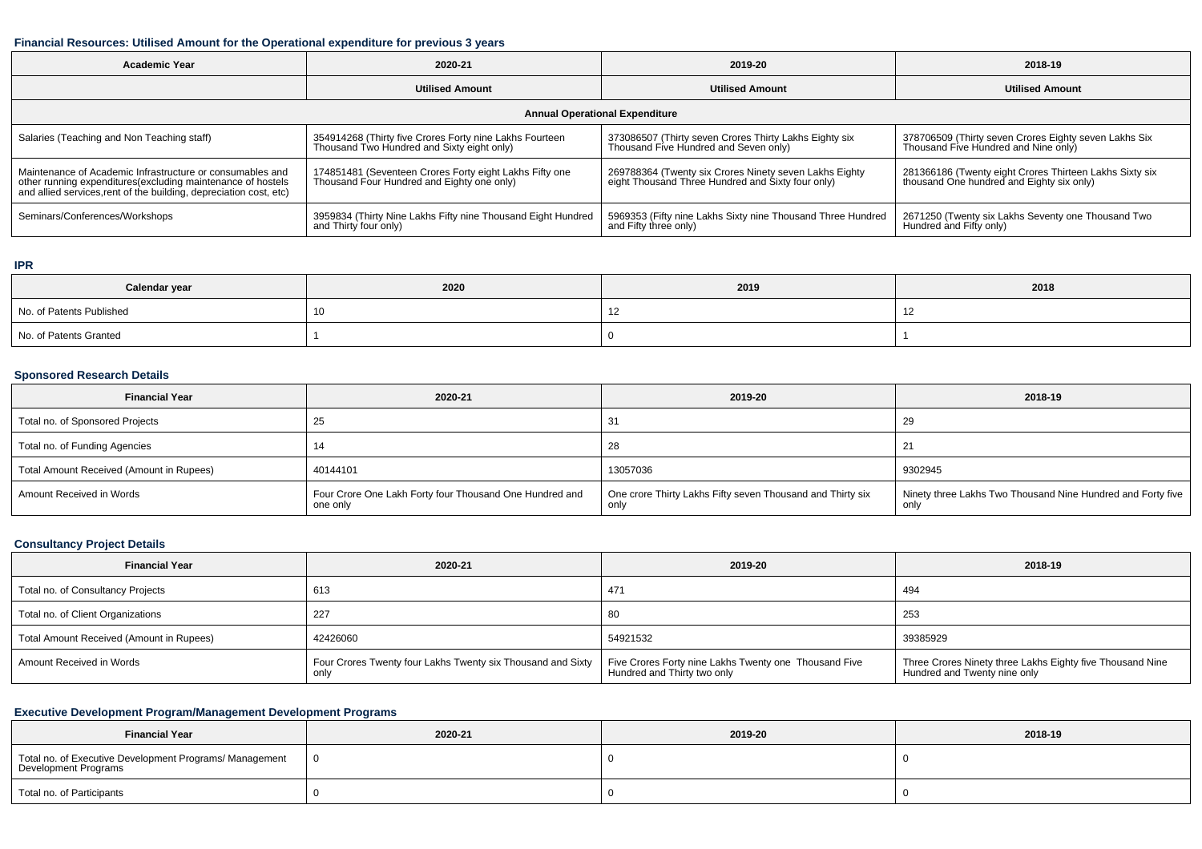#### **Financial Resources: Utilised Amount for the Operational expenditure for previous 3 years**

| <b>Academic Year</b>                                                                                                                                                                            | 2020-21                                                                                               | 2019-20                                                                                                     | 2018-19                                                                                              |  |  |  |
|-------------------------------------------------------------------------------------------------------------------------------------------------------------------------------------------------|-------------------------------------------------------------------------------------------------------|-------------------------------------------------------------------------------------------------------------|------------------------------------------------------------------------------------------------------|--|--|--|
|                                                                                                                                                                                                 | <b>Utilised Amount</b>                                                                                | <b>Utilised Amount</b>                                                                                      | <b>Utilised Amount</b>                                                                               |  |  |  |
| <b>Annual Operational Expenditure</b>                                                                                                                                                           |                                                                                                       |                                                                                                             |                                                                                                      |  |  |  |
| Salaries (Teaching and Non Teaching staff)                                                                                                                                                      | 354914268 (Thirty five Crores Forty nine Lakhs Fourteen<br>Thousand Two Hundred and Sixty eight only) | 373086507 (Thirty seven Crores Thirty Lakhs Eighty six<br>Thousand Five Hundred and Seven only)             | 378706509 (Thirty seven Crores Eighty seven Lakhs Six<br>Thousand Five Hundred and Nine only)        |  |  |  |
| Maintenance of Academic Infrastructure or consumables and<br>other running expenditures (excluding maintenance of hostels<br>and allied services, rent of the building, depreciation cost, etc) | 174851481 (Seventeen Crores Forty eight Lakhs Fifty one<br>Thousand Four Hundred and Eighty one only) | 269788364 (Twenty six Crores Ninety seven Lakhs Eighty<br>eight Thousand Three Hundred and Sixty four only) | 281366186 (Twenty eight Crores Thirteen Lakhs Sixty six<br>thousand One hundred and Eighty six only) |  |  |  |
| Seminars/Conferences/Workshops                                                                                                                                                                  | 3959834 (Thirty Nine Lakhs Fifty nine Thousand Eight Hundred<br>and Thirty four only)                 | 5969353 (Fifty nine Lakhs Sixty nine Thousand Three Hundred<br>and Fifty three only)                        | <sup>1</sup> 2671250 (Twenty six Lakhs Seventy one Thousand Two<br>Hundred and Fifty only)           |  |  |  |

# **IPR**

| Calendar year            | 2020 | 2019 | 2018 |
|--------------------------|------|------|------|
| No. of Patents Published |      |      |      |
| No. of Patents Granted   |      |      |      |

### **Sponsored Research Details**

| <b>Financial Year</b>                    | 2020-21                                                             | 2019-20                                                            | 2018-19                                                             |
|------------------------------------------|---------------------------------------------------------------------|--------------------------------------------------------------------|---------------------------------------------------------------------|
| Total no. of Sponsored Projects          |                                                                     | 31                                                                 | -29                                                                 |
| Total no. of Funding Agencies            |                                                                     | 28                                                                 |                                                                     |
| Total Amount Received (Amount in Rupees) | 40144101                                                            | 13057036                                                           | 9302945                                                             |
| Amount Received in Words                 | Four Crore One Lakh Forty four Thousand One Hundred and<br>one only | One crore Thirty Lakhs Fifty seven Thousand and Thirty six<br>only | Ninety three Lakhs Two Thousand Nine Hundred and Forty five<br>only |

# **Consultancy Project Details**

| <b>Financial Year</b>                    | 2020-21                                                     | 2019-20                                                                              | 2018-19                                                                                   |
|------------------------------------------|-------------------------------------------------------------|--------------------------------------------------------------------------------------|-------------------------------------------------------------------------------------------|
| Total no. of Consultancy Projects        | 613                                                         | 471                                                                                  | 494                                                                                       |
| Total no. of Client Organizations        | 227                                                         | 80                                                                                   | 253                                                                                       |
| Total Amount Received (Amount in Rupees) | 42426060                                                    | 54921532                                                                             | 39385929                                                                                  |
| Amount Received in Words                 | Four Crores Twenty four Lakhs Twenty six Thousand and Sixty | Five Crores Forty nine Lakhs Twenty one Thousand Five<br>Hundred and Thirty two only | Three Crores Ninety three Lakhs Eighty five Thousand Nine<br>Hundred and Twenty nine only |

# **Executive Development Program/Management Development Programs**

| <b>Financial Year</b>                                                           | 2020-21 | 2019-20 | 2018-19 |
|---------------------------------------------------------------------------------|---------|---------|---------|
| Total no. of Executive Development Programs/ Management<br>Development Programs |         |         |         |
| Total no. of Participants                                                       |         |         |         |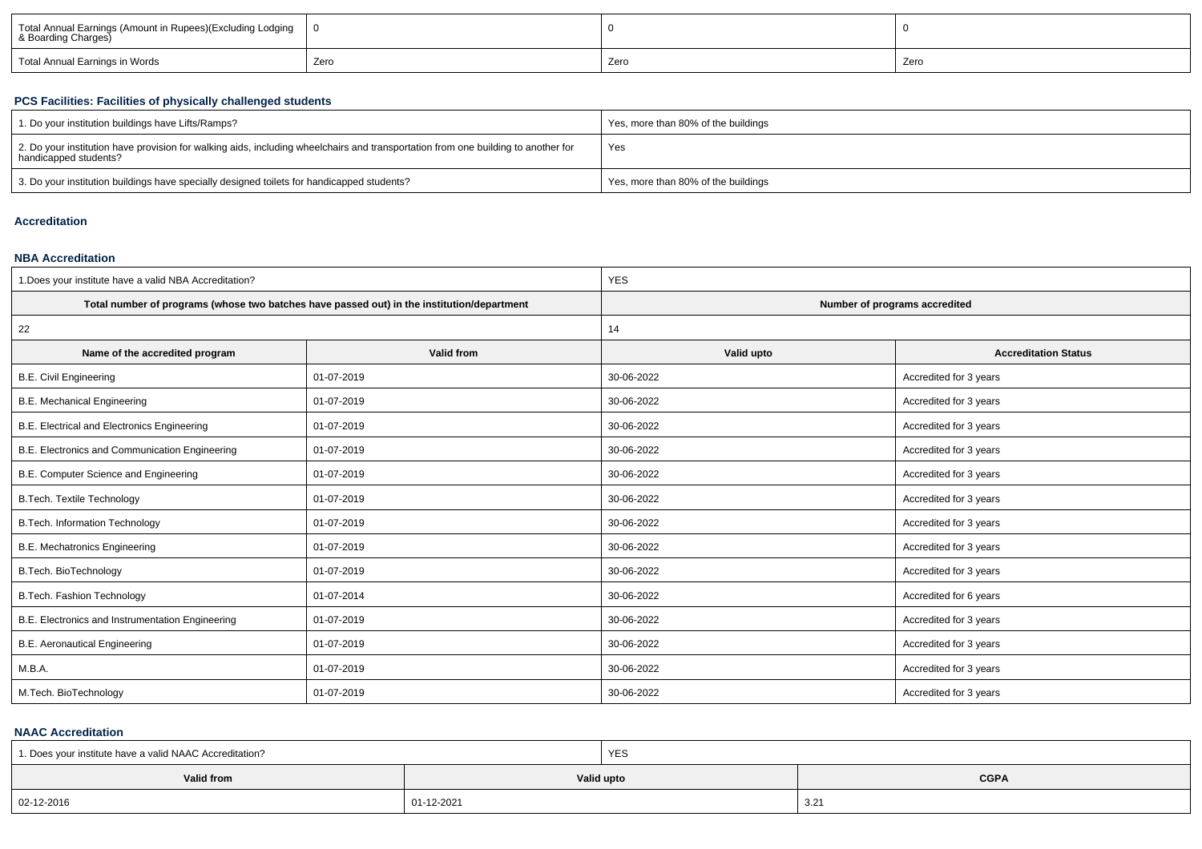| Total Annual Earnings (Amount in Rupees)(Excluding Lodging<br>& Boarding Charges) |      |      |      |  |
|-----------------------------------------------------------------------------------|------|------|------|--|
| Total Annual Earnings in Words                                                    | Zerc | Zero | Zerr |  |

### **PCS Facilities: Facilities of physically challenged students**

| 1. Do your institution buildings have Lifts/Ramps?                                                                                                         | Yes, more than 80% of the buildings |
|------------------------------------------------------------------------------------------------------------------------------------------------------------|-------------------------------------|
| 2. Do your institution have provision for walking aids, including wheelchairs and transportation from one building to another for<br>handicapped students? | Yes                                 |
| 3. Do your institution buildings have specially designed toilets for handicapped students?                                                                 | Yes, more than 80% of the buildings |

# **Accreditation**

#### **NBA Accreditation**

| 1. Does your institute have a valid NBA Accreditation? |                                                                                            | <b>YES</b>                    |                             |  |  |  |
|--------------------------------------------------------|--------------------------------------------------------------------------------------------|-------------------------------|-----------------------------|--|--|--|
|                                                        | Total number of programs (whose two batches have passed out) in the institution/department | Number of programs accredited |                             |  |  |  |
| 22                                                     |                                                                                            | 14                            |                             |  |  |  |
| Name of the accredited program                         | Valid from                                                                                 | Valid upto                    | <b>Accreditation Status</b> |  |  |  |
| <b>B.E. Civil Engineering</b>                          | 01-07-2019                                                                                 | 30-06-2022                    | Accredited for 3 years      |  |  |  |
| <b>B.E. Mechanical Engineering</b>                     | 01-07-2019                                                                                 | 30-06-2022                    | Accredited for 3 years      |  |  |  |
| B.E. Electrical and Electronics Engineering            | 01-07-2019                                                                                 | 30-06-2022                    | Accredited for 3 years      |  |  |  |
| B.E. Electronics and Communication Engineering         | 01-07-2019                                                                                 | 30-06-2022                    | Accredited for 3 years      |  |  |  |
| B.E. Computer Science and Engineering                  | 01-07-2019                                                                                 | 30-06-2022                    | Accredited for 3 years      |  |  |  |
| <b>B.Tech. Textile Technology</b>                      | 01-07-2019                                                                                 | 30-06-2022                    | Accredited for 3 years      |  |  |  |
| B.Tech. Information Technology                         | 01-07-2019                                                                                 | 30-06-2022                    | Accredited for 3 years      |  |  |  |
| <b>B.E. Mechatronics Engineering</b>                   | 01-07-2019                                                                                 | 30-06-2022                    | Accredited for 3 years      |  |  |  |
| B.Tech. BioTechnology                                  | 01-07-2019                                                                                 | 30-06-2022                    | Accredited for 3 years      |  |  |  |
| <b>B.Tech. Fashion Technology</b>                      | 01-07-2014                                                                                 | 30-06-2022                    | Accredited for 6 years      |  |  |  |
| B.E. Electronics and Instrumentation Engineering       | 01-07-2019                                                                                 | 30-06-2022                    | Accredited for 3 years      |  |  |  |
| <b>B.E. Aeronautical Engineering</b>                   | 01-07-2019                                                                                 | 30-06-2022                    | Accredited for 3 years      |  |  |  |
| M.B.A.                                                 | 01-07-2019                                                                                 | 30-06-2022                    | Accredited for 3 years      |  |  |  |
| M.Tech. BioTechnology                                  | 01-07-2019                                                                                 | 30-06-2022                    | Accredited for 3 years      |  |  |  |

#### **NAAC Accreditation**

| 1. Does your institute have a valid NAAC Accreditation? |            | <b>YES</b> |             |  |  |
|---------------------------------------------------------|------------|------------|-------------|--|--|
| Valid from                                              |            | Valid upto | <b>CGPA</b> |  |  |
| 02-12-2016                                              | 01-12-2021 |            | 3.21        |  |  |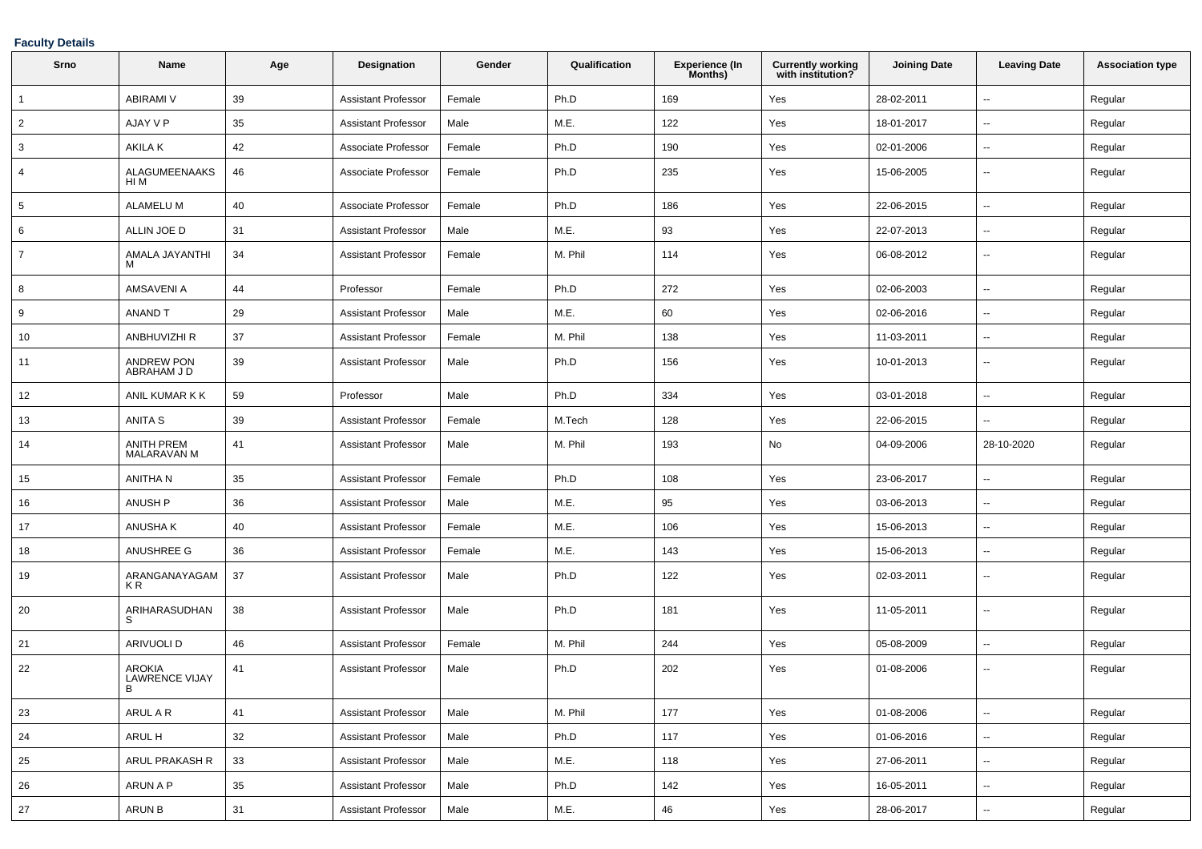### **Faculty Details**

| Srno           | Name                                        | Age | <b>Designation</b>         | Gender | Qualification | <b>Experience (In</b><br>Months) | <b>Currently working</b><br>with institution? | <b>Joining Date</b> | <b>Leaving Date</b>      | <b>Association type</b> |
|----------------|---------------------------------------------|-----|----------------------------|--------|---------------|----------------------------------|-----------------------------------------------|---------------------|--------------------------|-------------------------|
| $\overline{1}$ | <b>ABIRAMI V</b>                            | 39  | <b>Assistant Professor</b> | Female | Ph.D          | 169                              | Yes                                           | 28-02-2011          | $\overline{\phantom{a}}$ | Regular                 |
| $\overline{2}$ | AJAY V P                                    | 35  | <b>Assistant Professor</b> | Male   | M.E.          | 122                              | Yes                                           | 18-01-2017          | $\sim$                   | Regular                 |
| 3              | AKILA K                                     | 42  | Associate Professor        | Female | Ph.D          | 190                              | Yes                                           | 02-01-2006          | $\overline{\phantom{a}}$ | Regular                 |
| 4              | <b>ALAGUMEENAAKS</b><br>HI M                | 46  | Associate Professor        | Female | Ph.D          | 235                              | Yes                                           | 15-06-2005          | $\sim$                   | Regular                 |
| 5              | <b>ALAMELU M</b>                            | 40  | Associate Professor        | Female | Ph.D          | 186                              | Yes                                           | 22-06-2015          | $\sim$                   | Regular                 |
| 6              | ALLIN JOE D                                 | 31  | <b>Assistant Professor</b> | Male   | M.E.          | 93                               | Yes                                           | 22-07-2013          | $\overline{\phantom{a}}$ | Regular                 |
| 7              | AMALA JAYANTHI                              | 34  | <b>Assistant Professor</b> | Female | M. Phil       | 114                              | Yes                                           | 06-08-2012          | $\overline{\phantom{a}}$ | Regular                 |
| 8              | AMSAVENI A                                  | 44  | Professor                  | Female | Ph.D          | 272                              | Yes                                           | 02-06-2003          | $\sim$                   | Regular                 |
| 9              | <b>ANAND T</b>                              | 29  | <b>Assistant Professor</b> | Male   | M.E.          | 60                               | Yes                                           | 02-06-2016          | $\overline{\phantom{a}}$ | Regular                 |
| 10             | <b>ANBHUVIZHI R</b>                         | 37  | <b>Assistant Professor</b> | Female | M. Phil       | 138                              | Yes                                           | 11-03-2011          | $\sim$                   | Regular                 |
| 11             | <b>ANDREW PON</b><br>ABRAHAM J D            | 39  | <b>Assistant Professor</b> | Male   | Ph.D          | 156                              | Yes                                           | 10-01-2013          | $\sim$                   | Regular                 |
| 12             | ANIL KUMAR K K                              | 59  | Professor                  | Male   | Ph.D          | 334                              | Yes                                           | 03-01-2018          | $\overline{\phantom{a}}$ | Regular                 |
| 13             | <b>ANITA S</b>                              | 39  | <b>Assistant Professor</b> | Female | M.Tech        | 128                              | Yes                                           | 22-06-2015          | $\sim$                   | Regular                 |
| 14             | <b>ANITH PREM</b><br>MALARAVAN M            | 41  | <b>Assistant Professor</b> | Male   | M. Phil       | 193                              | No                                            | 04-09-2006          | 28-10-2020               | Regular                 |
| 15             | ANITHA N                                    | 35  | <b>Assistant Professor</b> | Female | Ph.D          | 108                              | Yes                                           | 23-06-2017          | $\sim$                   | Regular                 |
| 16             | <b>ANUSH P</b>                              | 36  | <b>Assistant Professor</b> | Male   | M.E.          | 95                               | Yes                                           | 03-06-2013          | $\overline{\phantom{a}}$ | Regular                 |
| 17             | ANUSHA K                                    | 40  | <b>Assistant Professor</b> | Female | M.E.          | 106                              | Yes                                           | 15-06-2013          | $\sim$                   | Regular                 |
| 18             | ANUSHREE G                                  | 36  | <b>Assistant Professor</b> | Female | M.E.          | 143                              | Yes                                           | 15-06-2013          | $\sim$                   | Regular                 |
| 19             | ARANGANAYAGAM<br>K R                        | 37  | <b>Assistant Professor</b> | Male   | Ph.D          | 122                              | Yes                                           | 02-03-2011          | $\overline{\phantom{a}}$ | Regular                 |
| 20             | ARIHARASUDHAN<br>S.                         | 38  | <b>Assistant Professor</b> | Male   | Ph.D          | 181                              | Yes                                           | 11-05-2011          | $\sim$                   | Regular                 |
| 21             | ARIVUOLI D                                  | 46  | Assistant Professor        | Female | M. Phil       | 244                              | Yes                                           | 05-08-2009          | $\overline{\phantom{a}}$ | Regular                 |
| 22             | <b>AROKIA</b><br><b>LAWRENCE VIJAY</b><br>B | 41  | <b>Assistant Professor</b> | Male   | Ph.D          | 202                              | Yes                                           | 01-08-2006          | $\sim$                   | Regular                 |
| 23             | ARUL A R                                    | 41  | <b>Assistant Professor</b> | Male   | M. Phil       | 177                              | Yes                                           | 01-08-2006          | $\overline{\phantom{a}}$ | Regular                 |
| 24             | ARUL H                                      | 32  | <b>Assistant Professor</b> | Male   | Ph.D          | 117                              | Yes                                           | 01-06-2016          | $\sim$                   | Regular                 |
| 25             | ARUL PRAKASH R                              | 33  | <b>Assistant Professor</b> | Male   | M.E.          | 118                              | Yes                                           | 27-06-2011          | $\sim$                   | Regular                 |
| 26             | ARUN A P                                    | 35  | <b>Assistant Professor</b> | Male   | Ph.D          | 142                              | Yes                                           | 16-05-2011          | $\overline{\phantom{a}}$ | Regular                 |
| 27             | ARUN B                                      | 31  | <b>Assistant Professor</b> | Male   | M.E.          | 46                               | Yes                                           | 28-06-2017          | $\overline{\phantom{a}}$ | Regular                 |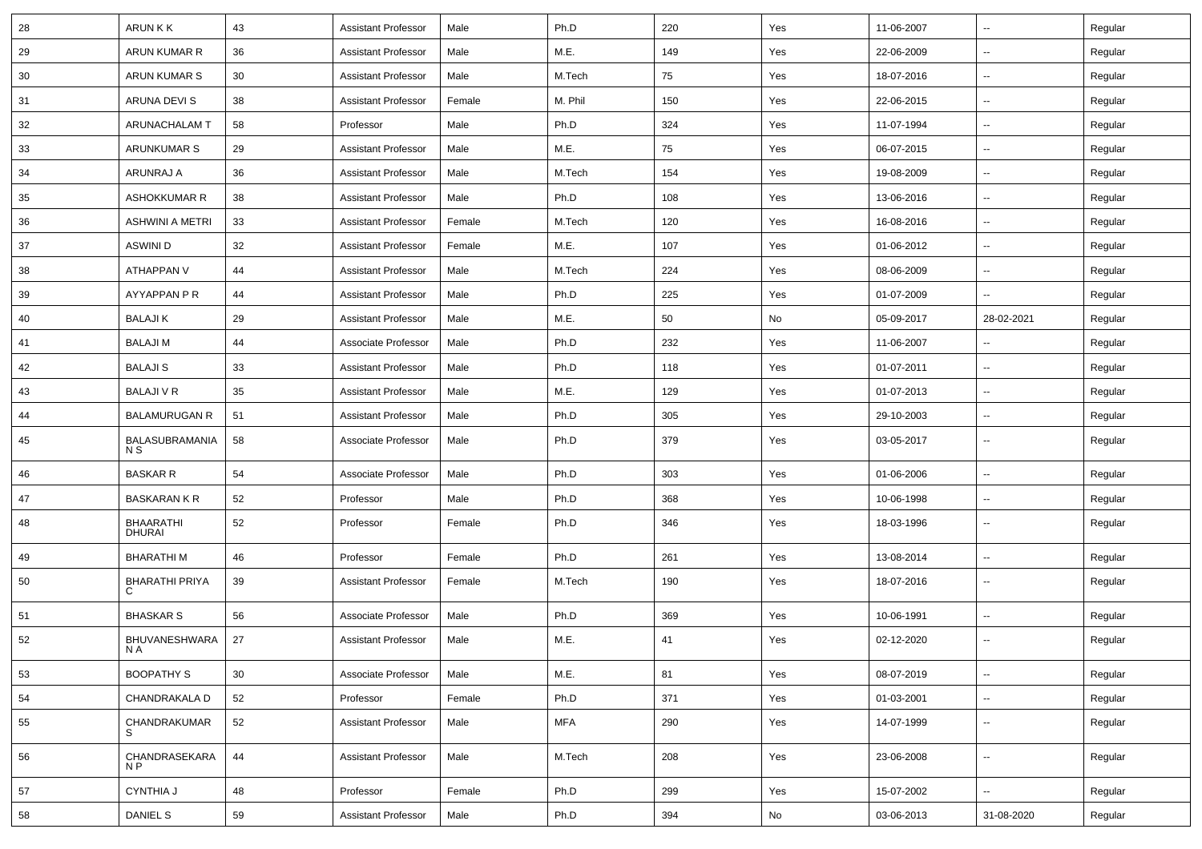| 28 | <b>ARUNKK</b>                     | 43 | <b>Assistant Professor</b> | Male   | Ph.D       | 220 | Yes | 11-06-2007 | $\sim$                   | Regular |
|----|-----------------------------------|----|----------------------------|--------|------------|-----|-----|------------|--------------------------|---------|
| 29 | ARUN KUMAR R                      | 36 | <b>Assistant Professor</b> | Male   | M.E.       | 149 | Yes | 22-06-2009 | $\sim$                   | Regular |
| 30 | ARUN KUMAR S                      | 30 | <b>Assistant Professor</b> | Male   | M.Tech     | 75  | Yes | 18-07-2016 | --                       | Regular |
| 31 | ARUNA DEVI S                      | 38 | <b>Assistant Professor</b> | Female | M. Phil    | 150 | Yes | 22-06-2015 | Ξ.                       | Regular |
| 32 | ARUNACHALAM T                     | 58 | Professor                  | Male   | Ph.D       | 324 | Yes | 11-07-1994 | $\overline{\phantom{a}}$ | Regular |
| 33 | <b>ARUNKUMAR S</b>                | 29 | <b>Assistant Professor</b> | Male   | M.E.       | 75  | Yes | 06-07-2015 | ш,                       | Regular |
| 34 | ARUNRAJ A                         | 36 | <b>Assistant Professor</b> | Male   | M.Tech     | 154 | Yes | 19-08-2009 | $\sim$                   | Regular |
| 35 | ASHOKKUMAR R                      | 38 | <b>Assistant Professor</b> | Male   | Ph.D       | 108 | Yes | 13-06-2016 | $\sim$                   | Regular |
| 36 | <b>ASHWINI A METRI</b>            | 33 | <b>Assistant Professor</b> | Female | M.Tech     | 120 | Yes | 16-08-2016 | $\sim$                   | Regular |
| 37 | ASWINI D                          | 32 | <b>Assistant Professor</b> | Female | M.E.       | 107 | Yes | 01-06-2012 | Ξ.                       | Regular |
| 38 | ATHAPPAN V                        | 44 | <b>Assistant Professor</b> | Male   | M.Tech     | 224 | Yes | 08-06-2009 | $\overline{a}$           | Regular |
| 39 | AYYAPPAN P R                      | 44 | <b>Assistant Professor</b> | Male   | Ph.D       | 225 | Yes | 01-07-2009 | $\overline{a}$           | Regular |
| 40 | <b>BALAJIK</b>                    | 29 | <b>Assistant Professor</b> | Male   | M.E.       | 50  | No  | 05-09-2017 | 28-02-2021               | Regular |
| 41 | <b>BALAJIM</b>                    | 44 | Associate Professor        | Male   | Ph.D       | 232 | Yes | 11-06-2007 | $\sim$                   | Regular |
| 42 | <b>BALAJIS</b>                    | 33 | <b>Assistant Professor</b> | Male   | Ph.D       | 118 | Yes | 01-07-2011 | $\sim$                   | Regular |
| 43 | <b>BALAJI V R</b>                 | 35 | <b>Assistant Professor</b> | Male   | M.E.       | 129 | Yes | 01-07-2013 | $\sim$                   | Regular |
| 44 | <b>BALAMURUGAN R</b>              | 51 | <b>Assistant Professor</b> | Male   | Ph.D       | 305 | Yes | 29-10-2003 | $\overline{a}$           | Regular |
| 45 | BALASUBRAMANIA<br>N S             | 58 | Associate Professor        | Male   | Ph.D       | 379 | Yes | 03-05-2017 | Ξ.                       | Regular |
| 46 | <b>BASKAR R</b>                   | 54 | Associate Professor        | Male   | Ph.D       | 303 | Yes | 01-06-2006 | ш.                       | Regular |
| 47 | <b>BASKARAN K R</b>               | 52 | Professor                  | Male   | Ph.D       | 368 | Yes | 10-06-1998 | $\sim$                   | Regular |
| 48 | <b>BHAARATHI</b><br><b>DHURAI</b> | 52 | Professor                  | Female | Ph.D       | 346 | Yes | 18-03-1996 | $\sim$                   | Regular |
| 49 | <b>BHARATHIM</b>                  | 46 | Professor                  | Female | Ph.D       | 261 | Yes | 13-08-2014 | $\sim$                   | Regular |
| 50 | <b>BHARATHI PRIYA</b><br>C        | 39 | <b>Assistant Professor</b> | Female | M.Tech     | 190 | Yes | 18-07-2016 | $\sim$                   | Regular |
| 51 | <b>BHASKAR S</b>                  | 56 | Associate Professor        | Male   | Ph.D       | 369 | Yes | 10-06-1991 | $\sim$                   | Regular |
| 52 | BHUVANESHWARA<br>N A              | 27 | <b>Assistant Professor</b> | Male   | M.E.       | 41  | Yes | 02-12-2020 | $\sim$                   | Regular |
| 53 | <b>BOOPATHY S</b>                 | 30 | Associate Professor        | Male   | M.E.       | 81  | Yes | 08-07-2019 | ш.                       | Regular |
| 54 | CHANDRAKALA D                     | 52 | Professor                  | Female | Ph.D       | 371 | Yes | 01-03-2001 | Щ,                       | Regular |
| 55 | CHANDRAKUMAR<br>S                 | 52 | <b>Assistant Professor</b> | Male   | <b>MFA</b> | 290 | Yes | 14-07-1999 | u.                       | Regular |
| 56 | CHANDRASEKARA<br>N P              | 44 | Assistant Professor        | Male   | M.Tech     | 208 | Yes | 23-06-2008 | $\sim$                   | Regular |
| 57 | <b>CYNTHIA J</b>                  | 48 | Professor                  | Female | Ph.D       | 299 | Yes | 15-07-2002 | Ш,                       | Regular |
| 58 | <b>DANIEL S</b>                   | 59 | <b>Assistant Professor</b> | Male   | Ph.D       | 394 | No  | 03-06-2013 | 31-08-2020               | Regular |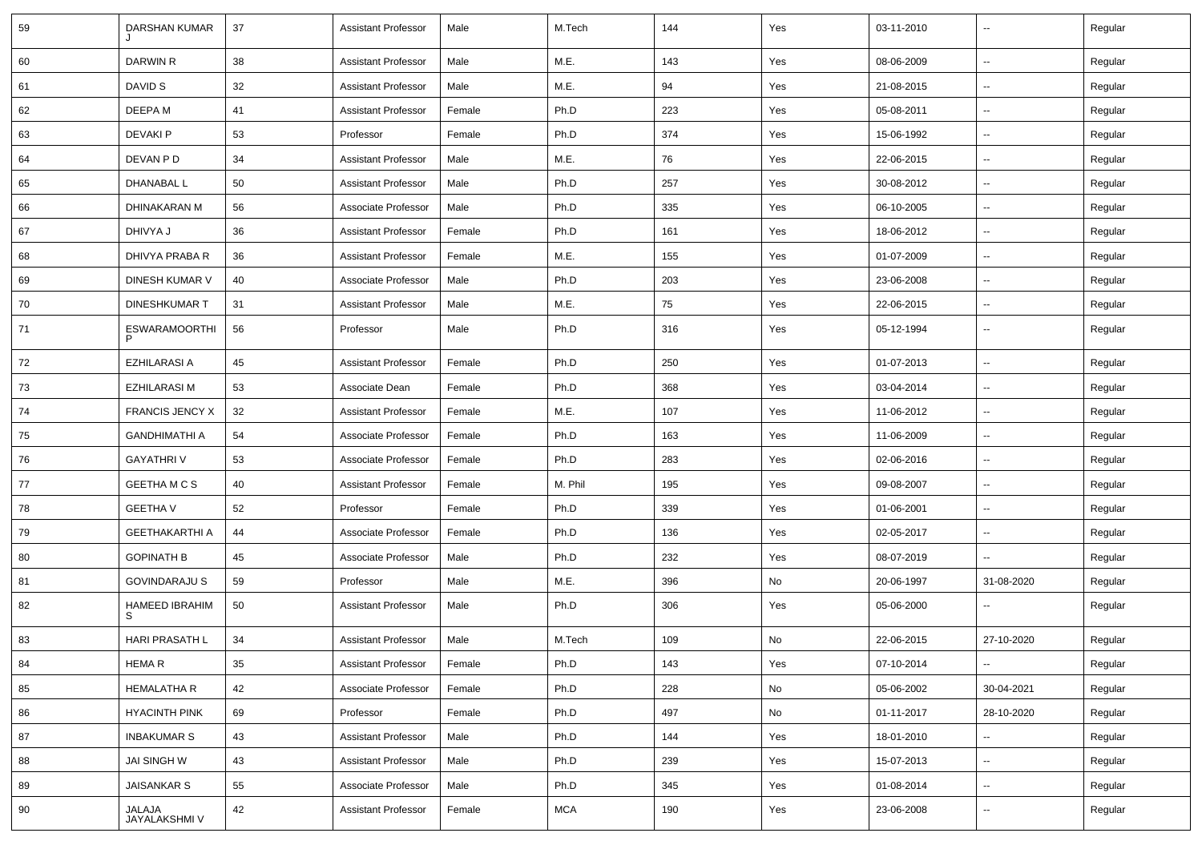| 59 | DARSHAN KUMAR              | 37         | <b>Assistant Professor</b> | Male   | M.Tech     | 144 | Yes | 03-11-2010 | $\overline{\phantom{a}}$ | Regular |
|----|----------------------------|------------|----------------------------|--------|------------|-----|-----|------------|--------------------------|---------|
| 60 | DARWIN R                   | 38         | <b>Assistant Professor</b> | Male   | M.E.       | 143 | Yes | 08-06-2009 | Щ,                       | Regular |
| 61 | DAVID S                    | 32         | <b>Assistant Professor</b> | Male   | M.E.       | 94  | Yes | 21-08-2015 | $\sim$                   | Regular |
| 62 | DEEPA M                    | 41         | <b>Assistant Professor</b> | Female | Ph.D       | 223 | Yes | 05-08-2011 | ⊷.                       | Regular |
| 63 | <b>DEVAKIP</b>             | 53         | Professor                  | Female | Ph.D       | 374 | Yes | 15-06-1992 | $\sim$                   | Regular |
| 64 | DEVAN P D                  | 34         | <b>Assistant Professor</b> | Male   | M.E.       | 76  | Yes | 22-06-2015 | -−                       | Regular |
| 65 | DHANABAL L                 | 50         | <b>Assistant Professor</b> | Male   | Ph.D       | 257 | Yes | 30-08-2012 | Ξ.                       | Regular |
| 66 | DHINAKARAN M               | 56         | Associate Professor        | Male   | Ph.D       | 335 | Yes | 06-10-2005 | $\overline{\phantom{a}}$ | Regular |
| 67 | DHIVYA J                   | 36         | <b>Assistant Professor</b> | Female | Ph.D       | 161 | Yes | 18-06-2012 | -−                       | Regular |
| 68 | DHIVYA PRABA R             | 36         | <b>Assistant Professor</b> | Female | M.E.       | 155 | Yes | 01-07-2009 | $\sim$                   | Regular |
| 69 | DINESH KUMAR V             | 40         | Associate Professor        | Male   | Ph.D       | 203 | Yes | 23-06-2008 | --                       | Regular |
| 70 | <b>DINESHKUMAR T</b>       | 31         | <b>Assistant Professor</b> | Male   | M.E.       | 75  | Yes | 22-06-2015 | -−                       | Regular |
| 71 | <b>ESWARAMOORTHI</b>       | 56         | Professor                  | Male   | Ph.D       | 316 | Yes | 05-12-1994 | $\sim$                   | Regular |
| 72 | <b>EZHILARASI A</b>        | 45         | <b>Assistant Professor</b> | Female | Ph.D       | 250 | Yes | 01-07-2013 | ш.                       | Regular |
| 73 | <b>EZHILARASI M</b>        | 53         | Associate Dean             | Female | Ph.D       | 368 | Yes | 03-04-2014 | $\sim$                   | Regular |
| 74 | <b>FRANCIS JENCY X</b>     | 32         | <b>Assistant Professor</b> | Female | M.E.       | 107 | Yes | 11-06-2012 | $\sim$                   | Regular |
| 75 | <b>GANDHIMATHI A</b>       | 54         | Associate Professor        | Female | Ph.D       | 163 | Yes | 11-06-2009 | $\overline{\phantom{a}}$ | Regular |
| 76 | <b>GAYATHRIV</b>           | 53         | Associate Professor        | Female | Ph.D       | 283 | Yes | 02-06-2016 | $\overline{\phantom{a}}$ | Regular |
| 77 | GEETHA M C S               | 40         | <b>Assistant Professor</b> | Female | M. Phil    | 195 | Yes | 09-08-2007 | -−                       | Regular |
| 78 | <b>GEETHA V</b>            | 52         | Professor                  | Female | Ph.D       | 339 | Yes | 01-06-2001 | Ξ.                       | Regular |
| 79 | <b>GEETHAKARTHI A</b>      | 44         | Associate Professor        | Female | Ph.D       | 136 | Yes | 02-05-2017 | $\sim$                   | Regular |
| 80 | <b>GOPINATH B</b>          | 45         | Associate Professor        | Male   | Ph.D       | 232 | Yes | 08-07-2019 | $\sim$                   | Regular |
| 81 | <b>GOVINDARAJU S</b>       | 59         | Professor                  | Male   | M.E.       | 396 | No  | 20-06-1997 | 31-08-2020               | Regular |
| 82 | <b>HAMEED IBRAHIM</b><br>S | 50         | <b>Assistant Professor</b> | Male   | Ph.D       | 306 | Yes | 05-06-2000 | --                       | Regular |
| 83 | HARI PRASATH L             | 34         | <b>Assistant Professor</b> | Male   | M.Tech     | 109 | No  | 22-06-2015 | 27-10-2020               | Regular |
| 84 | <b>HEMAR</b>               | 35         | <b>Assistant Professor</b> | Female | Ph.D       | 143 | Yes | 07-10-2014 | $\overline{\phantom{a}}$ | Regular |
| 85 | <b>HEMALATHA R</b>         | 42         | Associate Professor        | Female | Ph.D       | 228 | No  | 05-06-2002 | 30-04-2021               | Regular |
| 86 | <b>HYACINTH PINK</b>       | 69         | Professor                  | Female | Ph.D       | 497 | No  | 01-11-2017 | 28-10-2020               | Regular |
| 87 | <b>INBAKUMAR S</b>         | 43         | <b>Assistant Professor</b> | Male   | Ph.D       | 144 | Yes | 18-01-2010 | Щ,                       | Regular |
| 88 | JAI SINGH W                | 43         | <b>Assistant Professor</b> | Male   | Ph.D       | 239 | Yes | 15-07-2013 | Щ,                       | Regular |
| 89 | <b>JAISANKAR S</b>         | ${\bf 55}$ | Associate Professor        | Male   | Ph.D       | 345 | Yes | 01-08-2014 | $\sim$                   | Regular |
| 90 | JALAJA<br>JAYALAKSHMI V    | 42         | <b>Assistant Professor</b> | Female | <b>MCA</b> | 190 | Yes | 23-06-2008 | -−                       | Regular |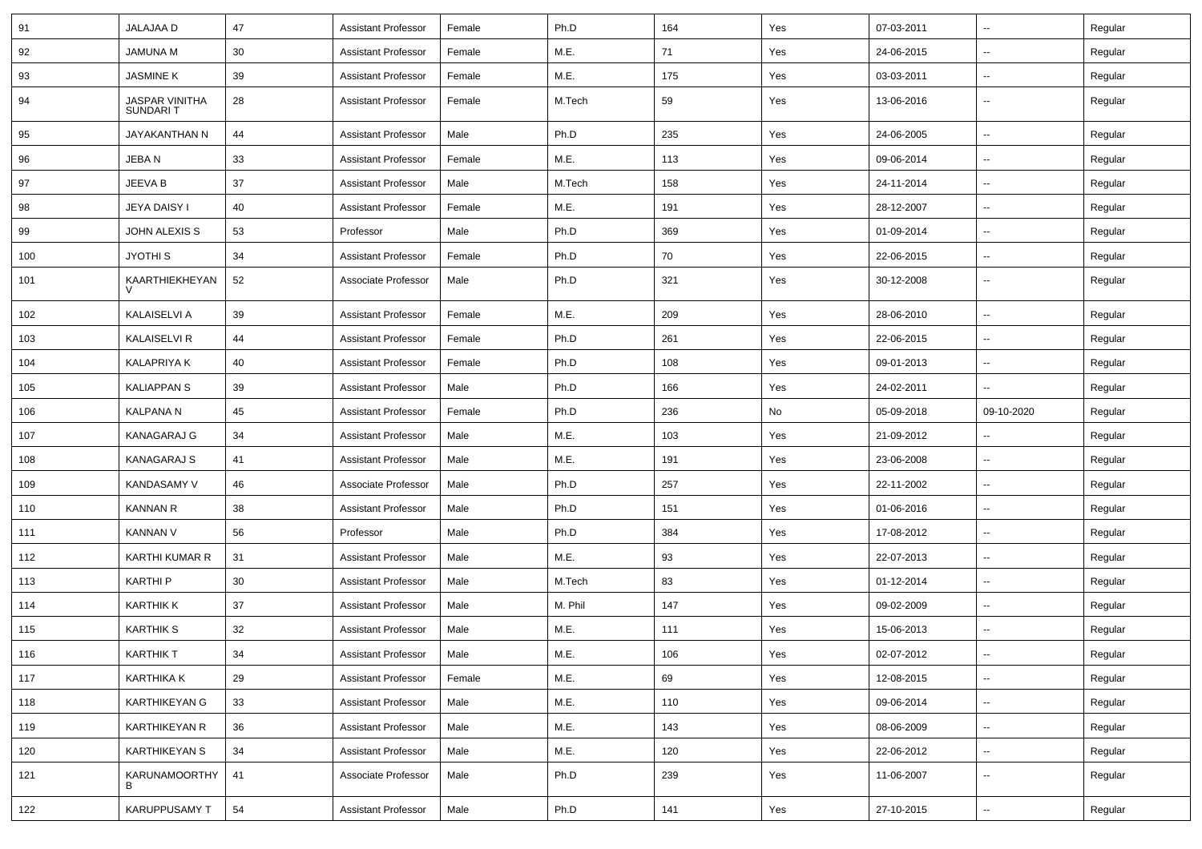| 91  | <b>JALAJAA D</b>                  | 47 | <b>Assistant Professor</b> | Female | Ph.D    | 164 | Yes | 07-03-2011 | ⊷.                       | Regular |
|-----|-----------------------------------|----|----------------------------|--------|---------|-----|-----|------------|--------------------------|---------|
| 92  | JAMUNA M                          | 30 | <b>Assistant Professor</b> | Female | M.E.    | 71  | Yes | 24-06-2015 | -−                       | Regular |
| 93  | JASMINE K                         | 39 | <b>Assistant Professor</b> | Female | M.E.    | 175 | Yes | 03-03-2011 | $\overline{\phantom{a}}$ | Regular |
| 94  | <b>JASPAR VINITHA</b><br>SUNDARIT | 28 | <b>Assistant Professor</b> | Female | M.Tech  | 59  | Yes | 13-06-2016 | --                       | Regular |
| 95  | JAYAKANTHAN N                     | 44 | <b>Assistant Professor</b> | Male   | Ph.D    | 235 | Yes | 24-06-2005 | $\overline{\phantom{a}}$ | Regular |
| 96  | JEBAN                             | 33 | <b>Assistant Professor</b> | Female | M.E.    | 113 | Yes | 09-06-2014 | -−                       | Regular |
| 97  | JEEVA B                           | 37 | <b>Assistant Professor</b> | Male   | M.Tech  | 158 | Yes | 24-11-2014 | ⊷.                       | Regular |
| 98  | <b>JEYA DAISY I</b>               | 40 | <b>Assistant Professor</b> | Female | M.E.    | 191 | Yes | 28-12-2007 | н.                       | Regular |
| 99  | <b>JOHN ALEXIS S</b>              | 53 | Professor                  | Male   | Ph.D    | 369 | Yes | 01-09-2014 | ⊷.                       | Regular |
| 100 | JYOTHI S                          | 34 | <b>Assistant Professor</b> | Female | Ph.D    | 70  | Yes | 22-06-2015 | -−                       | Regular |
| 101 | KAARTHIEKHEYAN                    | 52 | Associate Professor        | Male   | Ph.D    | 321 | Yes | 30-12-2008 | $\overline{\phantom{a}}$ | Regular |
| 102 | KALAISELVI A                      | 39 | <b>Assistant Professor</b> | Female | M.E.    | 209 | Yes | 28-06-2010 | $\overline{\phantom{a}}$ | Regular |
| 103 | <b>KALAISELVI R</b>               | 44 | <b>Assistant Professor</b> | Female | Ph.D    | 261 | Yes | 22-06-2015 | --                       | Regular |
| 104 | <b>KALAPRIYA K</b>                | 40 | <b>Assistant Professor</b> | Female | Ph.D    | 108 | Yes | 09-01-2013 | ⊷.                       | Regular |
| 105 | <b>KALIAPPAN S</b>                | 39 | <b>Assistant Professor</b> | Male   | Ph.D    | 166 | Yes | 24-02-2011 | $\overline{\phantom{a}}$ | Regular |
| 106 | <b>KALPANA N</b>                  | 45 | <b>Assistant Professor</b> | Female | Ph.D    | 236 | No  | 05-09-2018 | 09-10-2020               | Regular |
| 107 | KANAGARAJ G                       | 34 | <b>Assistant Professor</b> | Male   | M.E.    | 103 | Yes | 21-09-2012 | --                       | Regular |
| 108 | <b>KANAGARAJ S</b>                | 41 | <b>Assistant Professor</b> | Male   | M.E.    | 191 | Yes | 23-06-2008 | $\overline{\phantom{a}}$ | Regular |
| 109 | <b>KANDASAMY V</b>                | 46 | Associate Professor        | Male   | Ph.D    | 257 | Yes | 22-11-2002 | --                       | Regular |
| 110 | <b>KANNAN R</b>                   | 38 | <b>Assistant Professor</b> | Male   | Ph.D    | 151 | Yes | 01-06-2016 | $\overline{\phantom{a}}$ | Regular |
| 111 | <b>KANNAN V</b>                   | 56 | Professor                  | Male   | Ph.D    | 384 | Yes | 17-08-2012 | ⊷.                       | Regular |
| 112 | <b>KARTHI KUMAR R</b>             | 31 | <b>Assistant Professor</b> | Male   | M.E.    | 93  | Yes | 22-07-2013 | -−                       | Regular |
| 113 | <b>KARTHIP</b>                    | 30 | <b>Assistant Professor</b> | Male   | M.Tech  | 83  | Yes | 01-12-2014 | ⊷.                       | Regular |
| 114 | <b>KARTHIK K</b>                  | 37 | <b>Assistant Professor</b> | Male   | M. Phil | 147 | Yes | 09-02-2009 | $\overline{\phantom{a}}$ | Regular |
| 115 | <b>KARTHIK S</b>                  | 32 | <b>Assistant Professor</b> | Male   | M.E.    | 111 | Yes | 15-06-2013 | -−                       | Regular |
| 116 | <b>KARTHIK T</b>                  | 34 | <b>Assistant Professor</b> | Male   | M.E.    | 106 | Yes | 02-07-2012 |                          | Regular |
| 117 | KARTHIKA K                        | 29 | <b>Assistant Professor</b> | Female | M.E.    | 69  | Yes | 12-08-2015 | $\sim$                   | Regular |
| 118 | KARTHIKEYAN G                     | 33 | Assistant Professor        | Male   | M.E.    | 110 | Yes | 09-06-2014 | щ.                       | Regular |
| 119 | <b>KARTHIKEYAN R</b>              | 36 | <b>Assistant Professor</b> | Male   | M.E.    | 143 | Yes | 08-06-2009 | $\overline{\phantom{a}}$ | Regular |
| 120 | KARTHIKEYAN S                     | 34 | <b>Assistant Professor</b> | Male   | M.E.    | 120 | Yes | 22-06-2012 | $\sim$                   | Regular |
| 121 | KARUNAMOORTHY<br>B                | 41 | Associate Professor        | Male   | Ph.D    | 239 | Yes | 11-06-2007 | ⊷.                       | Regular |
| 122 | KARUPPUSAMY T                     | 54 | <b>Assistant Professor</b> | Male   | Ph.D    | 141 | Yes | 27-10-2015 | $\sim$                   | Regular |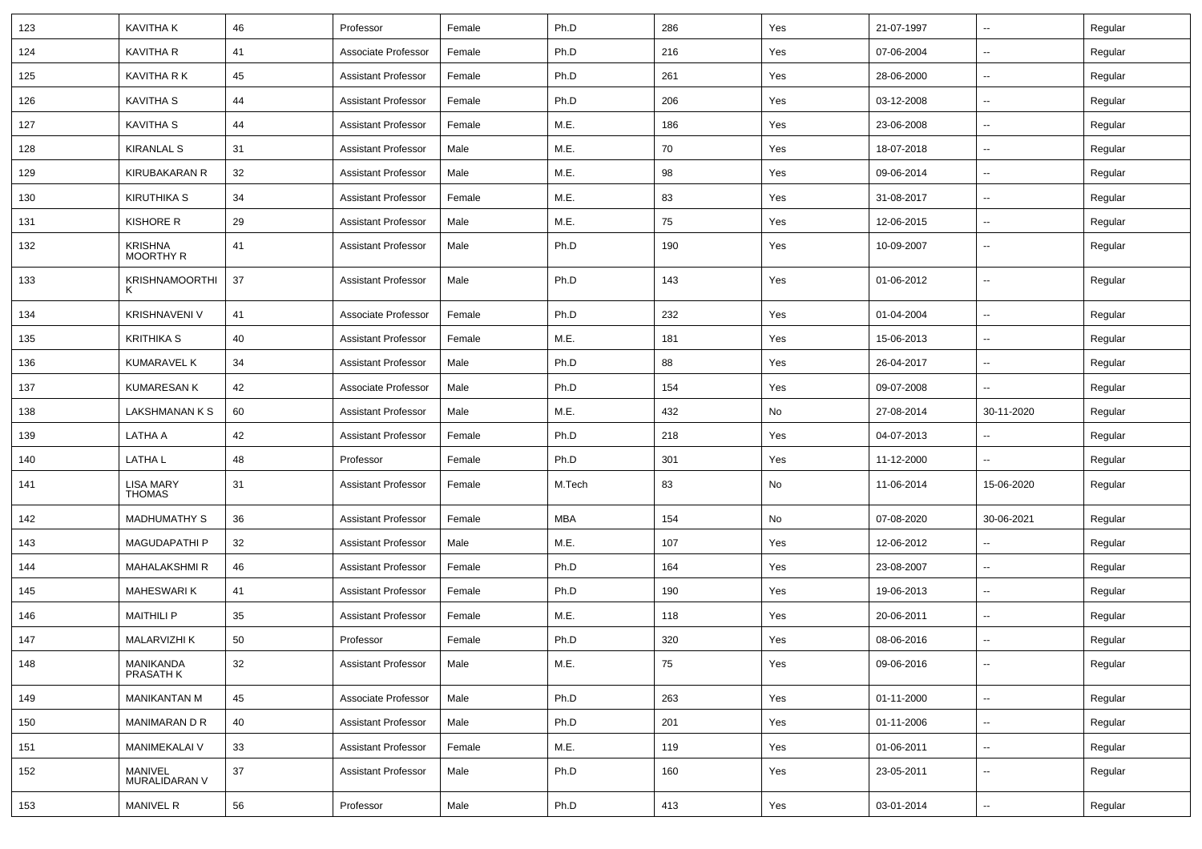| 123 | <b>KAVITHAK</b>                    | 46 | Professor                  | Female | Ph.D   | 286 | Yes | 21-07-1997 | $\overline{\phantom{a}}$ | Regular |
|-----|------------------------------------|----|----------------------------|--------|--------|-----|-----|------------|--------------------------|---------|
| 124 | KAVITHA R                          | 41 | Associate Professor        | Female | Ph.D   | 216 | Yes | 07-06-2004 | $\sim$                   | Regular |
| 125 | <b>KAVITHA R K</b>                 | 45 | <b>Assistant Professor</b> | Female | Ph.D   | 261 | Yes | 28-06-2000 | --                       | Regular |
| 126 | KAVITHA S                          | 44 | <b>Assistant Professor</b> | Female | Ph.D   | 206 | Yes | 03-12-2008 | $\overline{\phantom{a}}$ | Regular |
| 127 | KAVITHA S                          | 44 | <b>Assistant Professor</b> | Female | M.E.   | 186 | Yes | 23-06-2008 | н.                       | Regular |
| 128 | <b>KIRANLAL S</b>                  | 31 | <b>Assistant Professor</b> | Male   | M.E.   | 70  | Yes | 18-07-2018 | $\overline{\phantom{a}}$ | Regular |
| 129 | KIRUBAKARAN R                      | 32 | <b>Assistant Professor</b> | Male   | M.E.   | 98  | Yes | 09-06-2014 | $\sim$                   | Regular |
| 130 | KIRUTHIKA S                        | 34 | <b>Assistant Professor</b> | Female | M.E.   | 83  | Yes | 31-08-2017 | $\sim$                   | Regular |
| 131 | KISHORE R                          | 29 | <b>Assistant Professor</b> | Male   | M.E.   | 75  | Yes | 12-06-2015 | н.                       | Regular |
| 132 | <b>KRISHNA</b><br><b>MOORTHY R</b> | 41 | <b>Assistant Professor</b> | Male   | Ph.D   | 190 | Yes | 10-09-2007 | −−                       | Regular |
| 133 | <b>KRISHNAMOORTHI</b><br>K         | 37 | Assistant Professor        | Male   | Ph.D   | 143 | Yes | 01-06-2012 | ⊷.                       | Regular |
| 134 | KRISHNAVENI V                      | 41 | Associate Professor        | Female | Ph.D   | 232 | Yes | 01-04-2004 | $\overline{\phantom{a}}$ | Regular |
| 135 | <b>KRITHIKA S</b>                  | 40 | <b>Assistant Professor</b> | Female | M.E.   | 181 | Yes | 15-06-2013 | $\overline{\phantom{a}}$ | Regular |
| 136 | KUMARAVEL K                        | 34 | <b>Assistant Professor</b> | Male   | Ph.D   | 88  | Yes | 26-04-2017 | $\overline{\phantom{a}}$ | Regular |
| 137 | <b>KUMARESAN K</b>                 | 42 | Associate Professor        | Male   | Ph.D   | 154 | Yes | 09-07-2008 | Ξ.                       | Regular |
| 138 | LAKSHMANAN K S                     | 60 | <b>Assistant Professor</b> | Male   | M.E.   | 432 | No  | 27-08-2014 | 30-11-2020               | Regular |
| 139 | LATHA A                            | 42 | <b>Assistant Professor</b> | Female | Ph.D   | 218 | Yes | 04-07-2013 | ⊷.                       | Regular |
| 140 | <b>LATHAL</b>                      | 48 | Professor                  | Female | Ph.D   | 301 | Yes | 11-12-2000 | $\sim$                   | Regular |
| 141 | LISA MARY<br>THOMAS                | 31 | <b>Assistant Professor</b> | Female | M.Tech | 83  | No  | 11-06-2014 | 15-06-2020               | Regular |
| 142 | <b>MADHUMATHY S</b>                | 36 | <b>Assistant Professor</b> | Female | MBA    | 154 | No  | 07-08-2020 | 30-06-2021               | Regular |
| 143 | <b>MAGUDAPATHIP</b>                | 32 | <b>Assistant Professor</b> | Male   | M.E.   | 107 | Yes | 12-06-2012 | $\overline{\phantom{a}}$ | Regular |
| 144 | MAHALAKSHMI R                      | 46 | <b>Assistant Professor</b> | Female | Ph.D   | 164 | Yes | 23-08-2007 | $\sim$                   | Regular |
| 145 | MAHESWARI K                        | 41 | <b>Assistant Professor</b> | Female | Ph.D   | 190 | Yes | 19-06-2013 | н.                       | Regular |
| 146 | <b>MAITHILI P</b>                  | 35 | <b>Assistant Professor</b> | Female | M.E.   | 118 | Yes | 20-06-2011 | $\overline{\phantom{a}}$ | Regular |
| 147 | <b>MALARVIZHI K</b>                | 50 | Professor                  | Female | Ph.D   | 320 | Yes | 08-06-2016 | ۰.                       | Regular |
| 148 | MANIKANDA<br>PRASATH K             | 32 | <b>Assistant Professor</b> | Male   | M.E.   | 75  | Yes | 09-06-2016 | Щ,                       | Regular |
| 149 | <b>MANIKANTAN M</b>                | 45 | Associate Professor        | Male   | Ph.D   | 263 | Yes | 01-11-2000 | Щ,                       | Regular |
| 150 | MANIMARAN D R                      | 40 | <b>Assistant Professor</b> | Male   | Ph.D   | 201 | Yes | 01-11-2006 | $\overline{\phantom{a}}$ | Regular |
| 151 | <b>MANIMEKALAI V</b>               | 33 | <b>Assistant Professor</b> | Female | M.E.   | 119 | Yes | 01-06-2011 | $\sim$                   | Regular |
| 152 | MANIVEL<br>MURALIDARAN V           | 37 | <b>Assistant Professor</b> | Male   | Ph.D   | 160 | Yes | 23-05-2011 | $\sim$                   | Regular |
| 153 | <b>MANIVEL R</b>                   | 56 | Professor                  | Male   | Ph.D   | 413 | Yes | 03-01-2014 | $\overline{\phantom{a}}$ | Regular |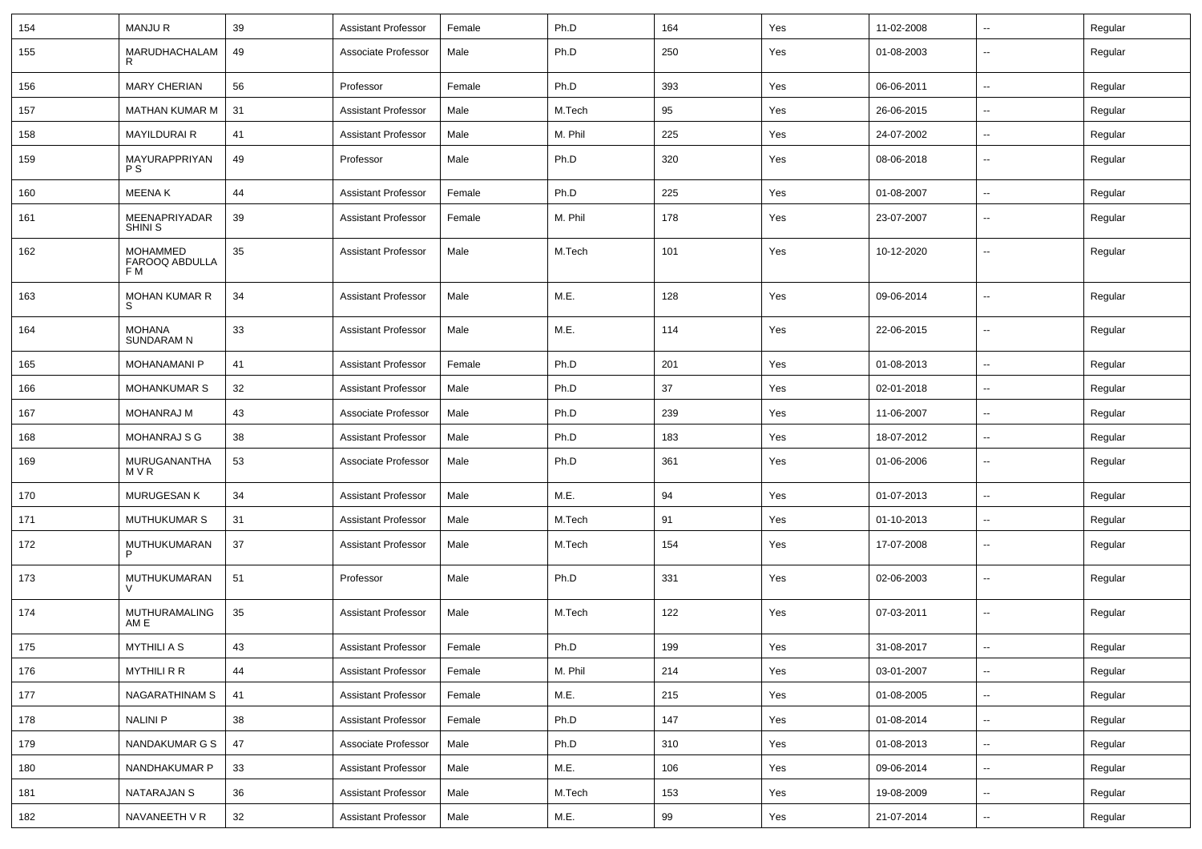| 154 | <b>MANJUR</b>                                   | 39 | Assistant Professor        | Female | Ph.D    | 164 | Yes | 11-02-2008 | $\sim$                   | Regular |
|-----|-------------------------------------------------|----|----------------------------|--------|---------|-----|-----|------------|--------------------------|---------|
| 155 | MARUDHACHALAM<br>R                              | 49 | Associate Professor        | Male   | Ph.D    | 250 | Yes | 01-08-2003 | $\overline{\phantom{a}}$ | Regular |
| 156 | <b>MARY CHERIAN</b>                             | 56 | Professor                  | Female | Ph.D    | 393 | Yes | 06-06-2011 | $\sim$                   | Regular |
| 157 | <b>MATHAN KUMAR M</b>                           | 31 | <b>Assistant Professor</b> | Male   | M.Tech  | 95  | Yes | 26-06-2015 | $\mathbf{u}$             | Regular |
| 158 | <b>MAYILDURAI R</b>                             | 41 | <b>Assistant Professor</b> | Male   | M. Phil | 225 | Yes | 24-07-2002 | $\overline{\phantom{a}}$ | Regular |
| 159 | MAYURAPPRIYAN<br><b>PS</b>                      | 49 | Professor                  | Male   | Ph.D    | 320 | Yes | 08-06-2018 | --                       | Regular |
| 160 | <b>MEENAK</b>                                   | 44 | Assistant Professor        | Female | Ph.D    | 225 | Yes | 01-08-2007 | $\overline{\phantom{a}}$ | Regular |
| 161 | MEENAPRIYADAR<br><b>SHINI S</b>                 | 39 | <b>Assistant Professor</b> | Female | M. Phil | 178 | Yes | 23-07-2007 | $\mathbf{u}$             | Regular |
| 162 | <b>MOHAMMED</b><br><b>FAROOQ ABDULLA</b><br>F M | 35 | <b>Assistant Professor</b> | Male   | M.Tech  | 101 | Yes | 10-12-2020 | $\overline{\phantom{a}}$ | Regular |
| 163 | <b>MOHAN KUMAR R</b><br>S                       | 34 | <b>Assistant Professor</b> | Male   | M.E.    | 128 | Yes | 09-06-2014 |                          | Regular |
| 164 | <b>MOHANA</b><br><b>SUNDARAM N</b>              | 33 | <b>Assistant Professor</b> | Male   | M.E.    | 114 | Yes | 22-06-2015 | --                       | Regular |
| 165 | <b>MOHANAMANI P</b>                             | 41 | Assistant Professor        | Female | Ph.D    | 201 | Yes | 01-08-2013 | $\overline{\phantom{a}}$ | Regular |
| 166 | <b>MOHANKUMAR S</b>                             | 32 | <b>Assistant Professor</b> | Male   | Ph.D    | 37  | Yes | 02-01-2018 | $\sim$                   | Regular |
| 167 | MOHANRAJ M                                      | 43 | Associate Professor        | Male   | Ph.D    | 239 | Yes | 11-06-2007 | $\sim$                   | Regular |
| 168 | <b>MOHANRAJ S G</b>                             | 38 | <b>Assistant Professor</b> | Male   | Ph.D    | 183 | Yes | 18-07-2012 | $\mathbf{u}$             | Regular |
| 169 | MURUGANANTHA<br>MVR                             | 53 | Associate Professor        | Male   | Ph.D    | 361 | Yes | 01-06-2006 | $\overline{\phantom{a}}$ | Regular |
| 170 | MURUGESAN K                                     | 34 | <b>Assistant Professor</b> | Male   | M.E.    | 94  | Yes | 01-07-2013 | $\mathbf{u}$             | Regular |
| 171 | <b>MUTHUKUMAR S</b>                             | 31 | <b>Assistant Professor</b> | Male   | M.Tech  | 91  | Yes | 01-10-2013 | $\overline{\phantom{a}}$ | Regular |
| 172 | MUTHUKUMARAN<br>P                               | 37 | <b>Assistant Professor</b> | Male   | M.Tech  | 154 | Yes | 17-07-2008 | --                       | Regular |
| 173 | MUTHUKUMARAN                                    | 51 | Professor                  | Male   | Ph.D    | 331 | Yes | 02-06-2003 | --                       | Regular |
| 174 | MUTHURAMALING<br>AM E                           | 35 | <b>Assistant Professor</b> | Male   | M.Tech  | 122 | Yes | 07-03-2011 | --                       | Regular |
| 175 | <b>MYTHILIAS</b>                                | 43 | <b>Assistant Professor</b> | Female | Ph.D    | 199 | Yes | 31-08-2017 | $\overline{\phantom{a}}$ | Regular |
| 176 | <b>MYTHILI R R</b>                              | 44 | <b>Assistant Professor</b> | Female | M. Phil | 214 | Yes | 03-01-2007 |                          | Regular |
| 177 | NAGARATHINAM S                                  | 41 | <b>Assistant Professor</b> | Female | M.E.    | 215 | Yes | 01-08-2005 | $\sim$                   | Regular |
| 178 | <b>NALINI P</b>                                 | 38 | <b>Assistant Professor</b> | Female | Ph.D    | 147 | Yes | 01-08-2014 | $\sim$                   | Regular |
| 179 | NANDAKUMAR G S                                  | 47 | Associate Professor        | Male   | Ph.D    | 310 | Yes | 01-08-2013 | $\sim$                   | Regular |
| 180 | NANDHAKUMAR P                                   | 33 | <b>Assistant Professor</b> | Male   | M.E.    | 106 | Yes | 09-06-2014 | $\overline{\phantom{a}}$ | Regular |
| 181 | <b>NATARAJAN S</b>                              | 36 | <b>Assistant Professor</b> | Male   | M.Tech  | 153 | Yes | 19-08-2009 | $\sim$                   | Regular |
| 182 | NAVANEETH V R                                   | 32 | <b>Assistant Professor</b> | Male   | M.E.    | 99  | Yes | 21-07-2014 | $\sim$                   | Regular |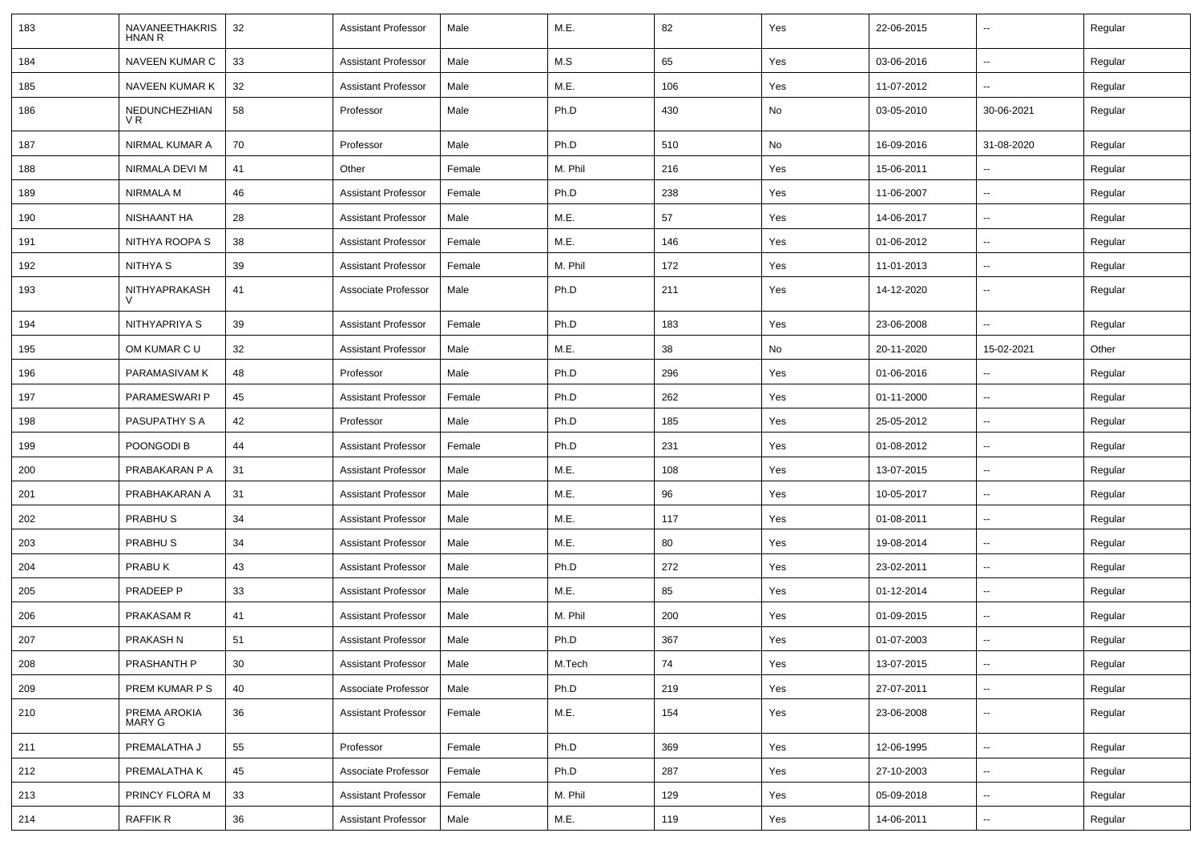| 183 | NAVANEETHAKRIS<br><b>HNAN R</b> | 32 | <b>Assistant Professor</b> | Male   | M.E.    | 82  | Yes | 22-06-2015 | $\overline{\phantom{a}}$ | Regular |
|-----|---------------------------------|----|----------------------------|--------|---------|-----|-----|------------|--------------------------|---------|
| 184 | <b>NAVEEN KUMAR C</b>           | 33 | <b>Assistant Professor</b> | Male   | M.S     | 65  | Yes | 03-06-2016 | $\overline{\phantom{a}}$ | Regular |
| 185 | NAVEEN KUMAR K                  | 32 | <b>Assistant Professor</b> | Male   | M.E.    | 106 | Yes | 11-07-2012 | ⊷.                       | Regular |
| 186 | NEDUNCHEZHIAN<br>V R            | 58 | Professor                  | Male   | Ph.D    | 430 | No  | 03-05-2010 | 30-06-2021               | Regular |
| 187 | NIRMAL KUMAR A                  | 70 | Professor                  | Male   | Ph.D    | 510 | No  | 16-09-2016 | 31-08-2020               | Regular |
| 188 | NIRMALA DEVI M                  | 41 | Other                      | Female | M. Phil | 216 | Yes | 15-06-2011 |                          | Regular |
| 189 | NIRMALA M                       | 46 | <b>Assistant Professor</b> | Female | Ph.D    | 238 | Yes | 11-06-2007 | --                       | Regular |
| 190 | NISHAANT HA                     | 28 | <b>Assistant Professor</b> | Male   | M.E.    | 57  | Yes | 14-06-2017 | $\overline{\phantom{a}}$ | Regular |
| 191 | NITHYA ROOPA S                  | 38 | <b>Assistant Professor</b> | Female | M.E.    | 146 | Yes | 01-06-2012 | $\overline{\phantom{a}}$ | Regular |
| 192 | NITHYA S                        | 39 | <b>Assistant Professor</b> | Female | M. Phil | 172 | Yes | 11-01-2013 | ⊷.                       | Regular |
| 193 | NITHYAPRAKASH                   | 41 | Associate Professor        | Male   | Ph.D    | 211 | Yes | 14-12-2020 | $\overline{\phantom{a}}$ | Regular |
| 194 | NITHYAPRIYA S                   | 39 | <b>Assistant Professor</b> | Female | Ph.D    | 183 | Yes | 23-06-2008 | $\mathbf{u}$             | Regular |
| 195 | OM KUMAR C U                    | 32 | <b>Assistant Professor</b> | Male   | M.E.    | 38  | No  | 20-11-2020 | 15-02-2021               | Other   |
| 196 | PARAMASIVAM K                   | 48 | Professor                  | Male   | Ph.D    | 296 | Yes | 01-06-2016 | --                       | Regular |
| 197 | PARAMESWARI P                   | 45 | <b>Assistant Professor</b> | Female | Ph.D    | 262 | Yes | 01-11-2000 | $\sim$                   | Regular |
| 198 | <b>PASUPATHY S A</b>            | 42 | Professor                  | Male   | Ph.D    | 185 | Yes | 25-05-2012 | $\overline{\phantom{a}}$ | Regular |
| 199 | POONGODI B                      | 44 | <b>Assistant Professor</b> | Female | Ph.D    | 231 | Yes | 01-08-2012 | ⊷.                       | Regular |
| 200 | PRABAKARAN P A                  | 31 | <b>Assistant Professor</b> | Male   | M.E.    | 108 | Yes | 13-07-2015 | --                       | Regular |
| 201 | PRABHAKARAN A                   | 31 | <b>Assistant Professor</b> | Male   | M.E.    | 96  | Yes | 10-05-2017 | $\overline{\phantom{a}}$ | Regular |
| 202 | <b>PRABHUS</b>                  | 34 | <b>Assistant Professor</b> | Male   | M.E.    | 117 | Yes | 01-08-2011 | --                       | Regular |
| 203 | <b>PRABHUS</b>                  | 34 | <b>Assistant Professor</b> | Male   | M.E.    | 80  | Yes | 19-08-2014 | --                       | Regular |
| 204 | PRABUK                          | 43 | <b>Assistant Professor</b> | Male   | Ph.D    | 272 | Yes | 23-02-2011 | $\overline{\phantom{a}}$ | Regular |
| 205 | PRADEEP P                       | 33 | <b>Assistant Professor</b> | Male   | M.E.    | 85  | Yes | 01-12-2014 | ⊷.                       | Regular |
| 206 | <b>PRAKASAM R</b>               | 41 | <b>Assistant Professor</b> | Male   | M. Phil | 200 | Yes | 01-09-2015 | $\overline{\phantom{a}}$ | Regular |
| 207 | PRAKASH N                       | 51 | <b>Assistant Professor</b> | Male   | Ph.D    | 367 | Yes | 01-07-2003 |                          | Regular |
| 208 | PRASHANTH P                     | 30 | Assistant Professor        | Male   | M.Tech  | 74  | Yes | 13-07-2015 | Щ,                       | Regular |
| 209 | PREM KUMAR P S                  | 40 | Associate Professor        | Male   | Ph.D    | 219 | Yes | 27-07-2011 | ц.                       | Regular |
| 210 | PREMA AROKIA<br>MARY G          | 36 | <b>Assistant Professor</b> | Female | M.E.    | 154 | Yes | 23-06-2008 | $\overline{\phantom{a}}$ | Regular |
| 211 | PREMALATHA J                    | 55 | Professor                  | Female | Ph.D    | 369 | Yes | 12-06-1995 | н.                       | Regular |
| 212 | PREMALATHA K                    | 45 | Associate Professor        | Female | Ph.D    | 287 | Yes | 27-10-2003 | $\sim$                   | Regular |
| 213 | PRINCY FLORA M                  | 33 | <b>Assistant Professor</b> | Female | M. Phil | 129 | Yes | 05-09-2018 | $\overline{\phantom{a}}$ | Regular |
| 214 | RAFFIK R                        | 36 | <b>Assistant Professor</b> | Male   | M.E.    | 119 | Yes | 14-06-2011 | $\sim$                   | Regular |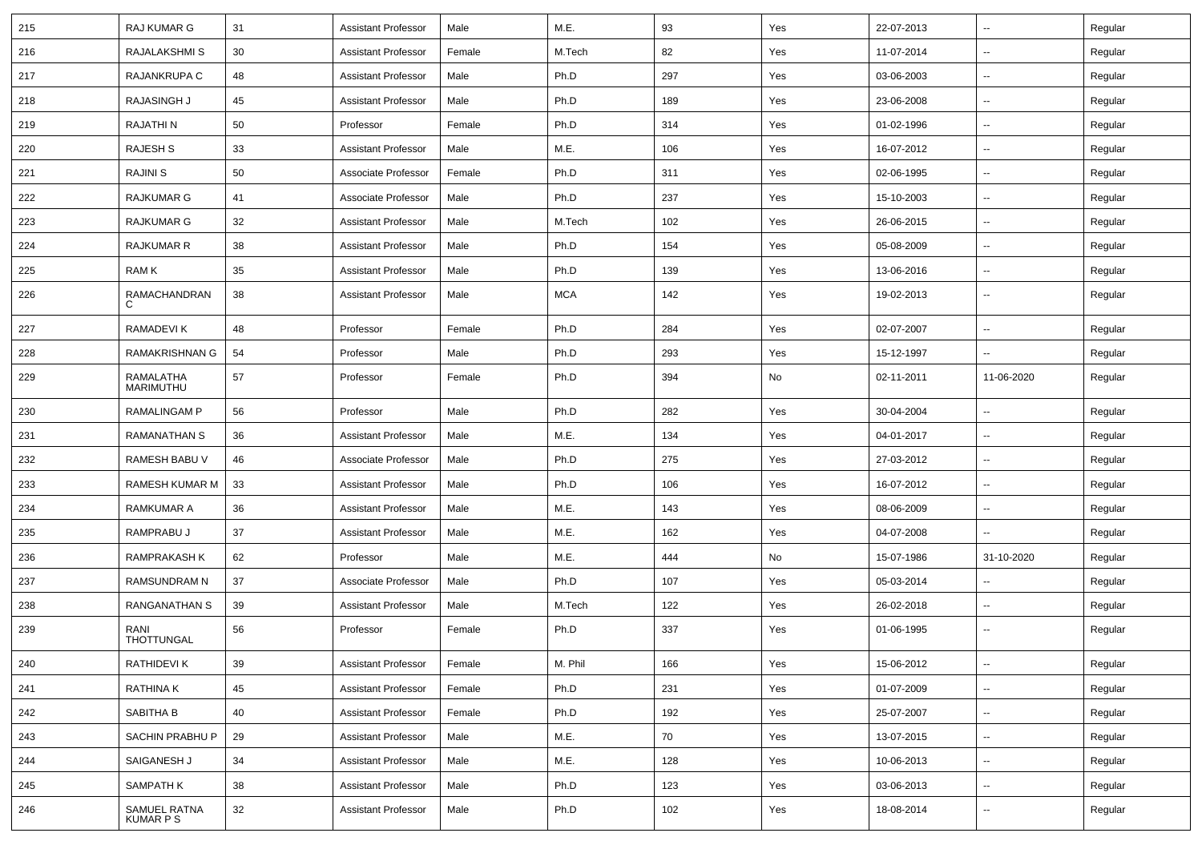| 215 | RAJ KUMAR G                    | 31 | <b>Assistant Professor</b> | Male   | M.E.       | 93  | Yes | 22-07-2013 | ⊷.                       | Regular |
|-----|--------------------------------|----|----------------------------|--------|------------|-----|-----|------------|--------------------------|---------|
| 216 | RAJALAKSHMI S                  | 30 | Assistant Professor        | Female | M.Tech     | 82  | Yes | 11-07-2014 | ⊷.                       | Regular |
| 217 | RAJANKRUPA C                   | 48 | <b>Assistant Professor</b> | Male   | Ph.D       | 297 | Yes | 03-06-2003 | -−                       | Regular |
| 218 | <b>RAJASINGH J</b>             | 45 | <b>Assistant Professor</b> | Male   | Ph.D       | 189 | Yes | 23-06-2008 | ⊷.                       | Regular |
| 219 | RAJATHI N                      | 50 | Professor                  | Female | Ph.D       | 314 | Yes | 01-02-1996 | $\overline{\phantom{a}}$ | Regular |
| 220 | RAJESH S                       | 33 | <b>Assistant Professor</b> | Male   | M.E.       | 106 | Yes | 16-07-2012 | --                       | Regular |
| 221 | <b>RAJINI S</b>                | 50 | Associate Professor        | Female | Ph.D       | 311 | Yes | 02-06-1995 | ⊷.                       | Regular |
| 222 | RAJKUMAR G                     | 41 | Associate Professor        | Male   | Ph.D       | 237 | Yes | 15-10-2003 | $\sim$                   | Regular |
| 223 | RAJKUMAR G                     | 32 | <b>Assistant Professor</b> | Male   | M.Tech     | 102 | Yes | 26-06-2015 | н.                       | Regular |
| 224 | RAJKUMAR R                     | 38 | <b>Assistant Professor</b> | Male   | Ph.D       | 154 | Yes | 05-08-2009 | ⊷.                       | Regular |
| 225 | RAM K                          | 35 | <b>Assistant Professor</b> | Male   | Ph.D       | 139 | Yes | 13-06-2016 | --                       | Regular |
| 226 | RAMACHANDRAN<br>C              | 38 | <b>Assistant Professor</b> | Male   | <b>MCA</b> | 142 | Yes | 19-02-2013 | --                       | Regular |
| 227 | RAMADEVI K                     | 48 | Professor                  | Female | Ph.D       | 284 | Yes | 02-07-2007 | -−                       | Regular |
| 228 | RAMAKRISHNAN G                 | 54 | Professor                  | Male   | Ph.D       | 293 | Yes | 15-12-1997 | -−                       | Regular |
| 229 | <b>RAMALATHA</b><br>MARIMUTHU  | 57 | Professor                  | Female | Ph.D       | 394 | No  | 02-11-2011 | 11-06-2020               | Regular |
| 230 | <b>RAMALINGAM P</b>            | 56 | Professor                  | Male   | Ph.D       | 282 | Yes | 30-04-2004 | $\sim$                   | Regular |
| 231 | <b>RAMANATHAN S</b>            | 36 | <b>Assistant Professor</b> | Male   | M.E.       | 134 | Yes | 04-01-2017 | Ξ.                       | Regular |
| 232 | RAMESH BABU V                  | 46 | Associate Professor        | Male   | Ph.D       | 275 | Yes | 27-03-2012 | ⊶.                       | Regular |
| 233 | <b>RAMESH KUMAR M</b>          | 33 | <b>Assistant Professor</b> | Male   | Ph.D       | 106 | Yes | 16-07-2012 | $\overline{\phantom{a}}$ | Regular |
| 234 | <b>RAMKUMAR A</b>              | 36 | <b>Assistant Professor</b> | Male   | M.E.       | 143 | Yes | 08-06-2009 | н.                       | Regular |
| 235 | RAMPRABU J                     | 37 | <b>Assistant Professor</b> | Male   | M.E.       | 162 | Yes | 04-07-2008 | Ш.                       | Regular |
| 236 | <b>RAMPRAKASH K</b>            | 62 | Professor                  | Male   | M.E.       | 444 | No  | 15-07-1986 | 31-10-2020               | Regular |
| 237 | RAMSUNDRAM N                   | 37 | Associate Professor        | Male   | Ph.D       | 107 | Yes | 05-03-2014 | ⊶.                       | Regular |
| 238 | RANGANATHAN S                  | 39 | <b>Assistant Professor</b> | Male   | M.Tech     | 122 | Yes | 26-02-2018 | ⊶.                       | Regular |
| 239 | RANI<br>THOTTUNGAL             | 56 | Professor                  | Female | Ph.D       | 337 | Yes | 01-06-1995 | -−                       | Regular |
| 240 | RATHIDEVI K                    | 39 | <b>Assistant Professor</b> | Female | M. Phil    | 166 | Yes | 15-06-2012 | $\overline{\phantom{a}}$ | Regular |
| 241 | RATHINA K                      | 45 | <b>Assistant Professor</b> | Female | Ph.D       | 231 | Yes | 01-07-2009 | -−                       | Regular |
| 242 | SABITHA B                      | 40 | <b>Assistant Professor</b> | Female | Ph.D       | 192 | Yes | 25-07-2007 | $\sim$                   | Regular |
| 243 | SACHIN PRABHU P                | 29 | <b>Assistant Professor</b> | Male   | M.E.       | 70  | Yes | 13-07-2015 | н,                       | Regular |
| 244 | SAIGANESH J                    | 34 | <b>Assistant Professor</b> | Male   | M.E.       | 128 | Yes | 10-06-2013 | -−                       | Regular |
| 245 | SAMPATH K                      | 38 | <b>Assistant Professor</b> | Male   | Ph.D       | 123 | Yes | 03-06-2013 | $\overline{\phantom{a}}$ | Regular |
| 246 | SAMUEL RATNA<br><b>KUMARPS</b> | 32 | <b>Assistant Professor</b> | Male   | Ph.D       | 102 | Yes | 18-08-2014 | -−                       | Regular |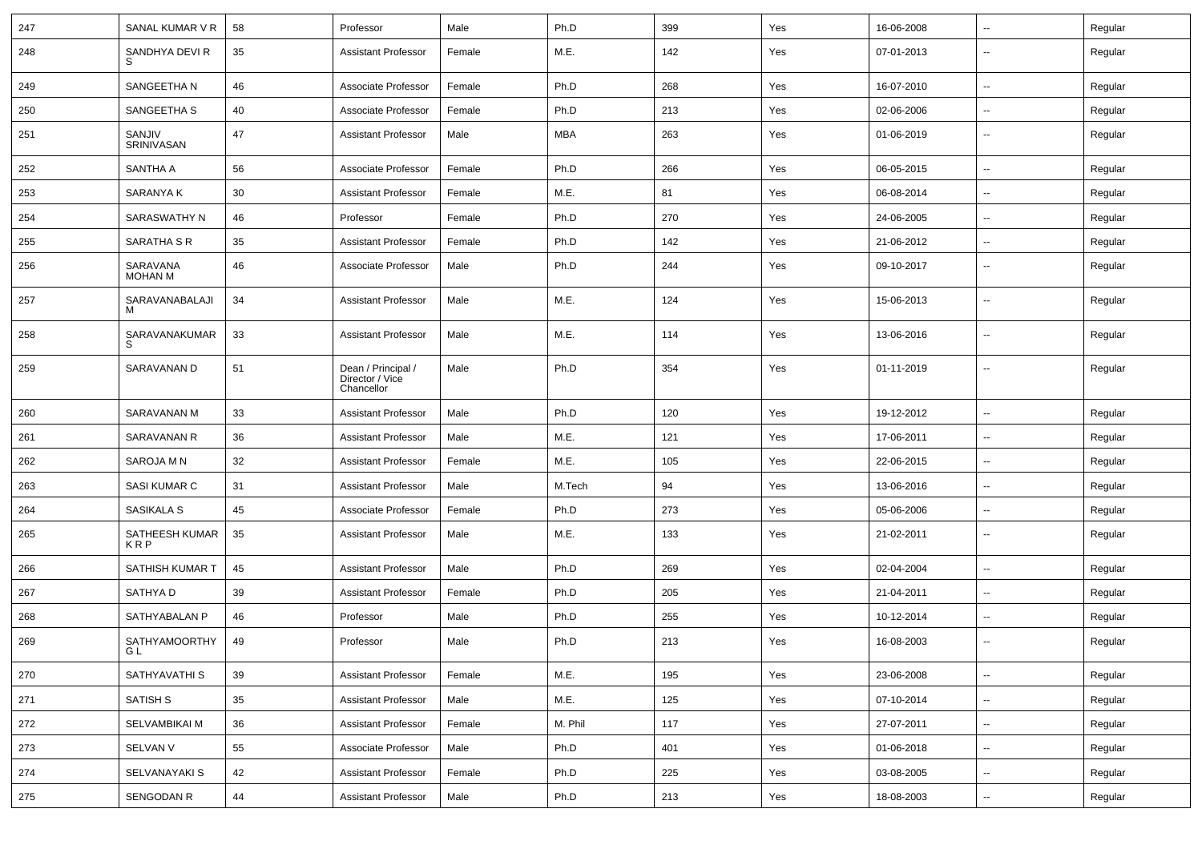| 247 | SANAL KUMAR V R            | 58 | Professor                                           | Male   | Ph.D    | 399 | Yes | 16-06-2008 | ⊷.                       | Regular |
|-----|----------------------------|----|-----------------------------------------------------|--------|---------|-----|-----|------------|--------------------------|---------|
| 248 | SANDHYA DEVI R<br>S        | 35 | <b>Assistant Professor</b>                          | Female | M.E.    | 142 | Yes | 07-01-2013 | $\overline{\phantom{a}}$ | Regular |
| 249 | SANGEETHA N                | 46 | Associate Professor                                 | Female | Ph.D    | 268 | Yes | 16-07-2010 | ⊷.                       | Regular |
| 250 | SANGEETHA S                | 40 | Associate Professor                                 | Female | Ph.D    | 213 | Yes | 02-06-2006 | $\overline{\phantom{a}}$ | Regular |
| 251 | SANJIV<br>SRINIVASAN       | 47 | <b>Assistant Professor</b>                          | Male   | MBA     | 263 | Yes | 01-06-2019 | --                       | Regular |
| 252 | SANTHA A                   | 56 | Associate Professor                                 | Female | Ph.D    | 266 | Yes | 06-05-2015 | $\overline{\phantom{a}}$ | Regular |
| 253 | SARANYA K                  | 30 | <b>Assistant Professor</b>                          | Female | M.E.    | 81  | Yes | 06-08-2014 | $\overline{\phantom{a}}$ | Regular |
| 254 | SARASWATHY N               | 46 | Professor                                           | Female | Ph.D    | 270 | Yes | 24-06-2005 | $\overline{\phantom{a}}$ | Regular |
| 255 | SARATHA S R                | 35 | <b>Assistant Professor</b>                          | Female | Ph.D    | 142 | Yes | 21-06-2012 | ⊷.                       | Regular |
| 256 | SARAVANA<br><b>MOHAN M</b> | 46 | Associate Professor                                 | Male   | Ph.D    | 244 | Yes | 09-10-2017 | $\overline{\phantom{a}}$ | Regular |
| 257 | SARAVANABALAJI<br>M        | 34 | <b>Assistant Professor</b>                          | Male   | M.E.    | 124 | Yes | 15-06-2013 | $\overline{\phantom{a}}$ | Regular |
| 258 | SARAVANAKUMAR<br>S         | 33 | <b>Assistant Professor</b>                          | Male   | M.E.    | 114 | Yes | 13-06-2016 | --                       | Regular |
| 259 | SARAVANAN D                | 51 | Dean / Principal /<br>Director / Vice<br>Chancellor | Male   | Ph.D    | 354 | Yes | 01-11-2019 | $\overline{\phantom{a}}$ | Regular |
| 260 | SARAVANAN M                | 33 | <b>Assistant Professor</b>                          | Male   | Ph.D    | 120 | Yes | 19-12-2012 | ⊷.                       | Regular |
| 261 | SARAVANAN R                | 36 | <b>Assistant Professor</b>                          | Male   | M.E.    | 121 | Yes | 17-06-2011 | $\overline{\phantom{a}}$ | Regular |
| 262 | SAROJA M N                 | 32 | <b>Assistant Professor</b>                          | Female | M.E.    | 105 | Yes | 22-06-2015 | --                       | Regular |
| 263 | SASI KUMAR C               | 31 | <b>Assistant Professor</b>                          | Male   | M.Tech  | 94  | Yes | 13-06-2016 | $\overline{\phantom{a}}$ | Regular |
| 264 | SASIKALA S                 | 45 | Associate Professor                                 | Female | Ph.D    | 273 | Yes | 05-06-2006 | $\overline{\phantom{a}}$ | Regular |
| 265 | SATHEESH KUMAR<br>KRP      | 35 | <b>Assistant Professor</b>                          | Male   | M.E.    | 133 | Yes | 21-02-2011 | $\overline{\phantom{a}}$ | Regular |
| 266 | <b>SATHISH KUMAR T</b>     | 45 | <b>Assistant Professor</b>                          | Male   | Ph.D    | 269 | Yes | 02-04-2004 | $\overline{\phantom{a}}$ | Regular |
| 267 | SATHYA D                   | 39 | <b>Assistant Professor</b>                          | Female | Ph.D    | 205 | Yes | 21-04-2011 | ⊷.                       | Regular |
| 268 | SATHYABALAN P              | 46 | Professor                                           | Male   | Ph.D    | 255 | Yes | 10-12-2014 | $\overline{\phantom{a}}$ | Regular |
| 269 | SATHYAMOORTHY<br>GL        | 49 | Professor                                           | Male   | Ph.D    | 213 | Yes | 16-08-2003 | --                       | Regular |
| 270 | SATHYAVATHI S              | 39 | <b>Assistant Professor</b>                          | Female | M.E.    | 195 | Yes | 23-06-2008 | $\overline{\phantom{a}}$ | Regular |
| 271 | SATISH S                   | 35 | <b>Assistant Professor</b>                          | Male   | M.E.    | 125 | Yes | 07-10-2014 | $\sim$                   | Regular |
| 272 | SELVAMBIKAI M              | 36 | <b>Assistant Professor</b>                          | Female | M. Phil | 117 | Yes | 27-07-2011 | $\sim$                   | Regular |
| 273 | <b>SELVAN V</b>            | 55 | Associate Professor                                 | Male   | Ph.D    | 401 | Yes | 01-06-2018 | $\sim$                   | Regular |
| 274 | SELVANAYAKI S              | 42 | <b>Assistant Professor</b>                          | Female | Ph.D    | 225 | Yes | 03-08-2005 | н.                       | Regular |
| 275 | SENGODAN R                 | 44 | <b>Assistant Professor</b>                          | Male   | Ph.D    | 213 | Yes | 18-08-2003 | $\sim$                   | Regular |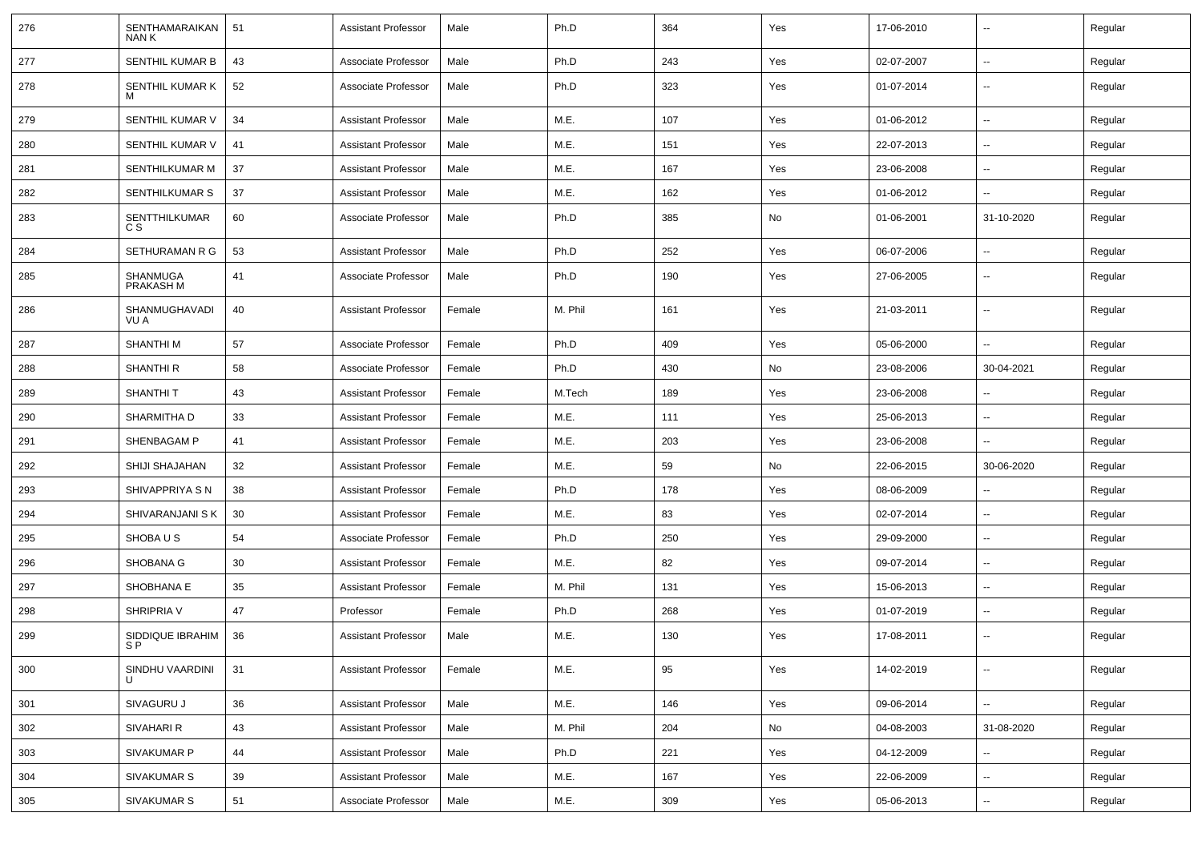| 276 | SENTHAMARAIKAN<br>NAN K         | 51 | <b>Assistant Professor</b> | Male   | Ph.D    | 364 | Yes | 17-06-2010 | $\overline{\phantom{a}}$ | Regular |
|-----|---------------------------------|----|----------------------------|--------|---------|-----|-----|------------|--------------------------|---------|
| 277 | SENTHIL KUMAR B                 | 43 | Associate Professor        | Male   | Ph.D    | 243 | Yes | 02-07-2007 | ⊷.                       | Regular |
| 278 | SENTHIL KUMAR K<br>м            | 52 | Associate Professor        | Male   | Ph.D    | 323 | Yes | 01-07-2014 | --                       | Regular |
| 279 | SENTHIL KUMAR V                 | 34 | <b>Assistant Professor</b> | Male   | M.E.    | 107 | Yes | 01-06-2012 | $\overline{\phantom{a}}$ | Regular |
| 280 | SENTHIL KUMAR V                 | 41 | <b>Assistant Professor</b> | Male   | M.E.    | 151 | Yes | 22-07-2013 | --                       | Regular |
| 281 | SENTHILKUMAR M                  | 37 | <b>Assistant Professor</b> | Male   | M.E.    | 167 | Yes | 23-06-2008 | --                       | Regular |
| 282 | SENTHILKUMAR S                  | 37 | <b>Assistant Professor</b> | Male   | M.E.    | 162 | Yes | 01-06-2012 | $\overline{\phantom{a}}$ | Regular |
| 283 | SENTTHILKUMAR<br>C S            | 60 | Associate Professor        | Male   | Ph.D    | 385 | No  | 01-06-2001 | 31-10-2020               | Regular |
| 284 | SETHURAMAN R G                  | 53 | <b>Assistant Professor</b> | Male   | Ph.D    | 252 | Yes | 06-07-2006 | $\overline{\phantom{a}}$ | Regular |
| 285 | SHANMUGA<br>PRAKASH M           | 41 | Associate Professor        | Male   | Ph.D    | 190 | Yes | 27-06-2005 | $\overline{\phantom{a}}$ | Regular |
| 286 | SHANMUGHAVADI<br>VU A           | 40 | <b>Assistant Professor</b> | Female | M. Phil | 161 | Yes | 21-03-2011 | $\overline{\phantom{a}}$ | Regular |
| 287 | <b>SHANTHIM</b>                 | 57 | Associate Professor        | Female | Ph.D    | 409 | Yes | 05-06-2000 | ⊷.                       | Regular |
| 288 | <b>SHANTHI R</b>                | 58 | Associate Professor        | Female | Ph.D    | 430 | No  | 23-08-2006 | 30-04-2021               | Regular |
| 289 | <b>SHANTHIT</b>                 | 43 | <b>Assistant Professor</b> | Female | M.Tech  | 189 | Yes | 23-06-2008 | --                       | Regular |
| 290 | <b>SHARMITHA D</b>              | 33 | <b>Assistant Professor</b> | Female | M.E.    | 111 | Yes | 25-06-2013 | --                       | Regular |
| 291 | SHENBAGAM P                     | 41 | <b>Assistant Professor</b> | Female | M.E.    | 203 | Yes | 23-06-2008 | $\overline{\phantom{a}}$ | Regular |
| 292 | SHIJI SHAJAHAN                  | 32 | <b>Assistant Professor</b> | Female | M.E.    | 59  | No  | 22-06-2015 | 30-06-2020               | Regular |
| 293 | SHIVAPPRIYA S N                 | 38 | <b>Assistant Professor</b> | Female | Ph.D    | 178 | Yes | 08-06-2009 | --                       | Regular |
| 294 | SHIVARANJANI S K                | 30 | <b>Assistant Professor</b> | Female | M.E.    | 83  | Yes | 02-07-2014 | $\overline{\phantom{a}}$ | Regular |
| 295 | SHOBA U S                       | 54 | Associate Professor        | Female | Ph.D    | 250 | Yes | 29-09-2000 |                          | Regular |
| 296 | SHOBANA G                       | 30 | <b>Assistant Professor</b> | Female | M.E.    | 82  | Yes | 09-07-2014 | --                       | Regular |
| 297 | SHOBHANA E                      | 35 | <b>Assistant Professor</b> | Female | M. Phil | 131 | Yes | 15-06-2013 | $\overline{\phantom{a}}$ | Regular |
| 298 | SHRIPRIA V                      | 47 | Professor                  | Female | Ph.D    | 268 | Yes | 01-07-2019 | $\overline{\phantom{a}}$ | Regular |
| 299 | SIDDIQUE IBRAHIM<br>S P         | 36 | <b>Assistant Professor</b> | Male   | M.E.    | 130 | Yes | 17-08-2011 | $\overline{\phantom{a}}$ | Regular |
| 300 | SINDHU VAARDINI<br>$\mathbf{I}$ | 31 | <b>Assistant Professor</b> | Female | M.E.    | 95  | Yes | 14-02-2019 | −−                       | Regular |
| 301 | SIVAGURU J                      | 36 | <b>Assistant Professor</b> | Male   | M.E.    | 146 | Yes | 09-06-2014 | $\sim$                   | Regular |
| 302 | SIVAHARI R                      | 43 | <b>Assistant Professor</b> | Male   | M. Phil | 204 | No  | 04-08-2003 | 31-08-2020               | Regular |
| 303 | SIVAKUMAR P                     | 44 | <b>Assistant Professor</b> | Male   | Ph.D    | 221 | Yes | 04-12-2009 | $\overline{\phantom{a}}$ | Regular |
| 304 | <b>SIVAKUMAR S</b>              | 39 | <b>Assistant Professor</b> | Male   | M.E.    | 167 | Yes | 22-06-2009 | ⊷.                       | Regular |
| 305 | SIVAKUMAR S                     | 51 | Associate Professor        | Male   | M.E.    | 309 | Yes | 05-06-2013 | Щ,                       | Regular |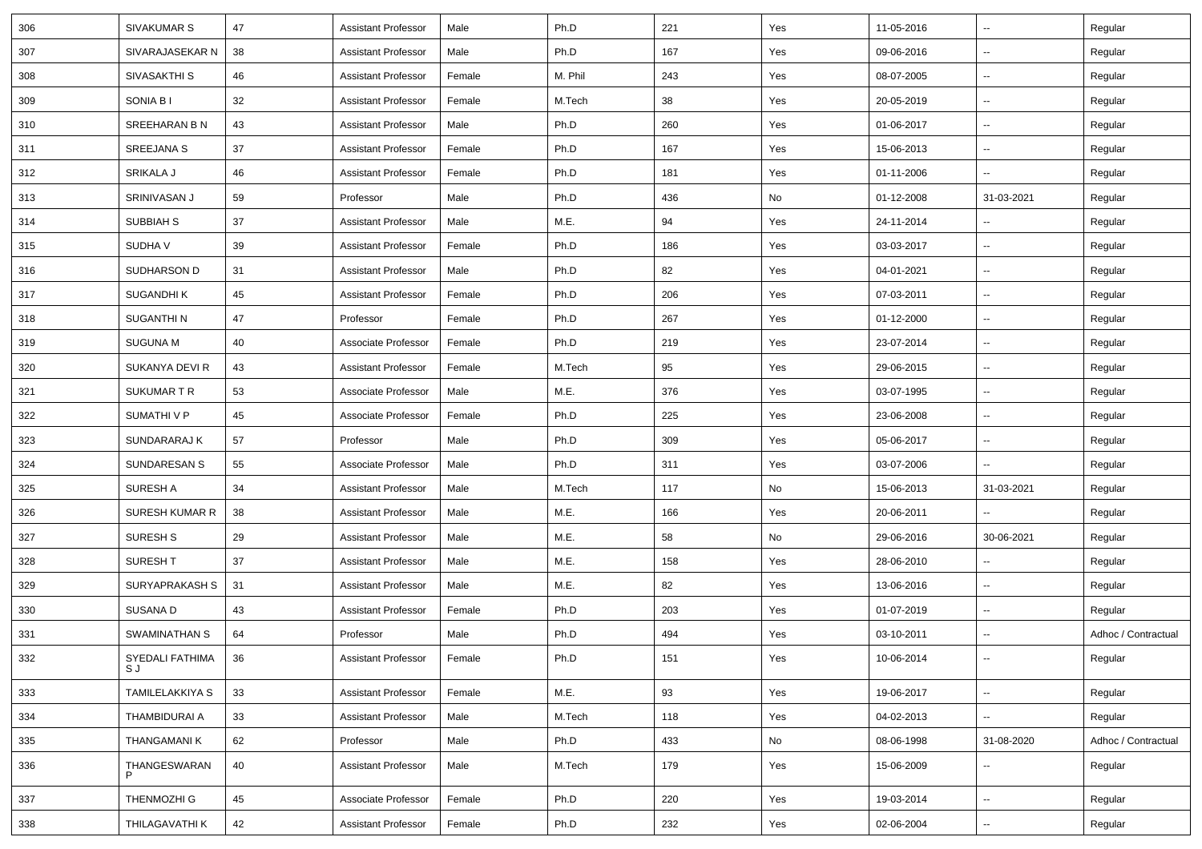| 306 | SIVAKUMAR S            | 47 | <b>Assistant Professor</b> | Male   | Ph.D    | 221 | Yes | 11-05-2016 | $\overline{\phantom{a}}$ | Regular             |
|-----|------------------------|----|----------------------------|--------|---------|-----|-----|------------|--------------------------|---------------------|
| 307 | SIVARAJASEKAR N        | 38 | Assistant Professor        | Male   | Ph.D    | 167 | Yes | 09-06-2016 | $\sim$                   | Regular             |
| 308 | SIVASAKTHI S           | 46 | <b>Assistant Professor</b> | Female | M. Phil | 243 | Yes | 08-07-2005 | --                       | Regular             |
| 309 | SONIA B I              | 32 | <b>Assistant Professor</b> | Female | M.Tech  | 38  | Yes | 20-05-2019 | --                       | Regular             |
| 310 | SREEHARAN B N          | 43 | Assistant Professor        | Male   | Ph.D    | 260 | Yes | 01-06-2017 | $\overline{\phantom{a}}$ | Regular             |
| 311 | SREEJANA S             | 37 | <b>Assistant Professor</b> | Female | Ph.D    | 167 | Yes | 15-06-2013 | $\overline{\phantom{a}}$ | Regular             |
| 312 | SRIKALA J              | 46 | <b>Assistant Professor</b> | Female | Ph.D    | 181 | Yes | 01-11-2006 | $\sim$                   | Regular             |
| 313 | SRINIVASAN J           | 59 | Professor                  | Male   | Ph.D    | 436 | No  | 01-12-2008 | 31-03-2021               | Regular             |
| 314 | SUBBIAH S              | 37 | <b>Assistant Professor</b> | Male   | M.E.    | 94  | Yes | 24-11-2014 | $\overline{\phantom{a}}$ | Regular             |
| 315 | SUDHA V                | 39 | <b>Assistant Professor</b> | Female | Ph.D    | 186 | Yes | 03-03-2017 | --                       | Regular             |
| 316 | SUDHARSON D            | 31 | <b>Assistant Professor</b> | Male   | Ph.D    | 82  | Yes | 04-01-2021 | $\overline{\phantom{a}}$ | Regular             |
| 317 | SUGANDHI K             | 45 | <b>Assistant Professor</b> | Female | Ph.D    | 206 | Yes | 07-03-2011 | $\overline{\phantom{a}}$ | Regular             |
| 318 | SUGANTHI N             | 47 | Professor                  | Female | Ph.D    | 267 | Yes | 01-12-2000 | $\overline{\phantom{a}}$ | Regular             |
| 319 | <b>SUGUNA M</b>        | 40 | Associate Professor        | Female | Ph.D    | 219 | Yes | 23-07-2014 | $\sim$                   | Regular             |
| 320 | SUKANYA DEVI R         | 43 | <b>Assistant Professor</b> | Female | M.Tech  | 95  | Yes | 29-06-2015 | $\overline{\phantom{a}}$ | Regular             |
| 321 | SUKUMAR T R            | 53 | Associate Professor        | Male   | M.E.    | 376 | Yes | 03-07-1995 | $\sim$                   | Regular             |
| 322 | SUMATHI V P            | 45 | Associate Professor        | Female | Ph.D    | 225 | Yes | 23-06-2008 | $\overline{\phantom{a}}$ | Regular             |
| 323 | SUNDARARAJ K           | 57 | Professor                  | Male   | Ph.D    | 309 | Yes | 05-06-2017 | $\overline{\phantom{a}}$ | Regular             |
| 324 | SUNDARESAN S           | 55 | Associate Professor        | Male   | Ph.D    | 311 | Yes | 03-07-2006 |                          | Regular             |
| 325 | SURESH A               | 34 | <b>Assistant Professor</b> | Male   | M.Tech  | 117 | No  | 15-06-2013 | 31-03-2021               | Regular             |
| 326 | SURESH KUMAR R         | 38 | Assistant Professor        | Male   | M.E.    | 166 | Yes | 20-06-2011 | $\sim$                   | Regular             |
| 327 | SURESH <sub>S</sub>    | 29 | <b>Assistant Professor</b> | Male   | M.E.    | 58  | No  | 29-06-2016 | 30-06-2021               | Regular             |
| 328 | SURESH T               | 37 | Assistant Professor        | Male   | M.E.    | 158 | Yes | 28-06-2010 | $\overline{\phantom{a}}$ | Regular             |
| 329 | SURYAPRAKASH S         | 31 | <b>Assistant Professor</b> | Male   | M.E.    | 82  | Yes | 13-06-2016 | --                       | Regular             |
| 330 | SUSANA D               | 43 | <b>Assistant Professor</b> | Female | Ph.D    | 203 | Yes | 01-07-2019 | $\overline{\phantom{a}}$ | Regular             |
| 331 | SWAMINATHAN S          | 64 | Professor                  | Male   | Ph.D    | 494 | Yes | 03-10-2011 | $\overline{\phantom{a}}$ | Adhoc / Contractual |
| 332 | SYEDALI FATHIMA<br>S J | 36 | Assistant Professor        | Female | Ph.D    | 151 | Yes | 10-06-2014 | $\sim$                   | Regular             |
| 333 | TAMILELAKKIYA S        | 33 | <b>Assistant Professor</b> | Female | M.E.    | 93  | Yes | 19-06-2017 | $\sim$                   | Regular             |
| 334 | THAMBIDURAI A          | 33 | <b>Assistant Professor</b> | Male   | M.Tech  | 118 | Yes | 04-02-2013 | Ξ.                       | Regular             |
| 335 | THANGAMANI K           | 62 | Professor                  | Male   | Ph.D    | 433 | No  | 08-06-1998 | 31-08-2020               | Adhoc / Contractual |
| 336 | THANGESWARAN<br>P      | 40 | <b>Assistant Professor</b> | Male   | M.Tech  | 179 | Yes | 15-06-2009 | --                       | Regular             |
| 337 | THENMOZHI G            | 45 | Associate Professor        | Female | Ph.D    | 220 | Yes | 19-03-2014 | ÷.                       | Regular             |
| 338 | THILAGAVATHI K         | 42 | <b>Assistant Professor</b> | Female | Ph.D    | 232 | Yes | 02-06-2004 | $\sim$                   | Regular             |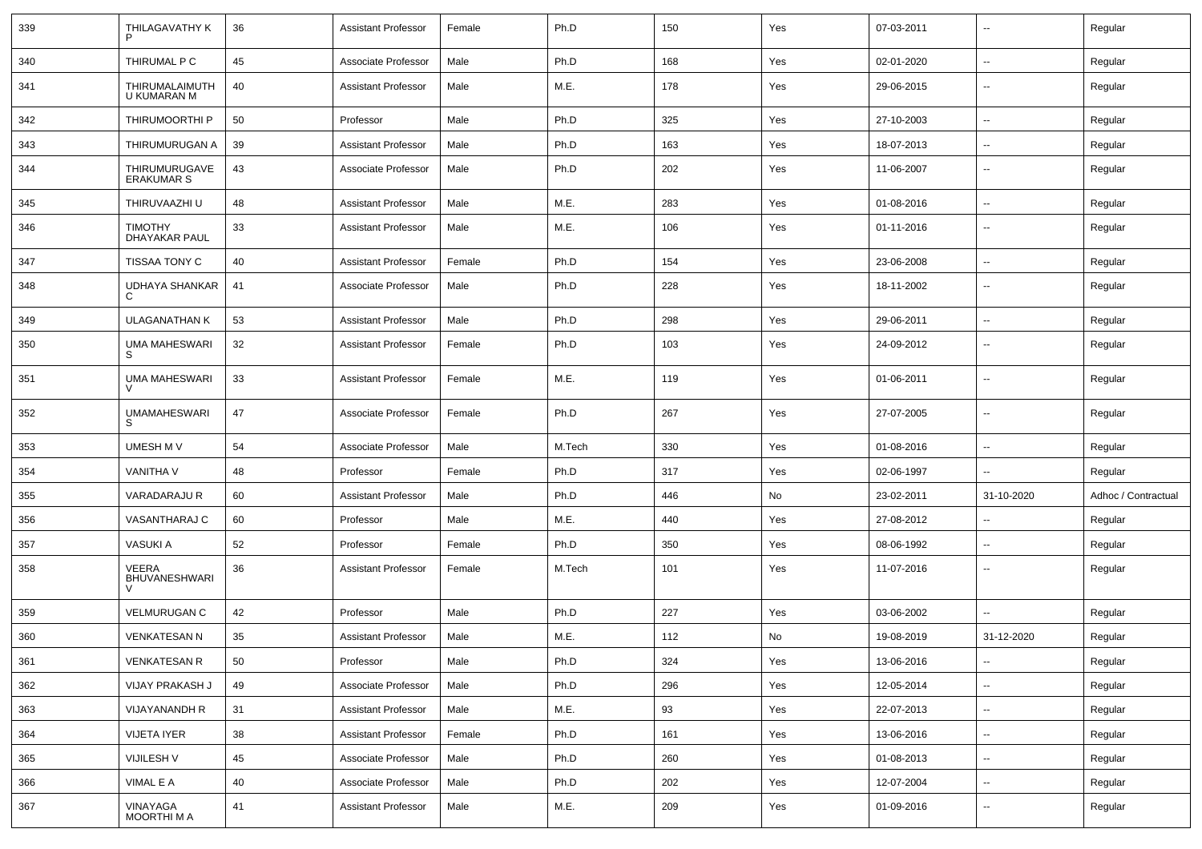| 339 | THILAGAVATHY K                         | 36 | <b>Assistant Professor</b> | Female | Ph.D   | 150 | Yes | 07-03-2011 | $\overline{\phantom{a}}$ | Regular             |
|-----|----------------------------------------|----|----------------------------|--------|--------|-----|-----|------------|--------------------------|---------------------|
| 340 | THIRUMAL P C                           | 45 | Associate Professor        | Male   | Ph.D   | 168 | Yes | 02-01-2020 | ⊷.                       | Regular             |
| 341 | THIRUMALAIMUTH<br>U KUMARAN M          | 40 | <b>Assistant Professor</b> | Male   | M.E.   | 178 | Yes | 29-06-2015 | $\overline{\phantom{a}}$ | Regular             |
| 342 | THIRUMOORTHI P                         | 50 | Professor                  | Male   | Ph.D   | 325 | Yes | 27-10-2003 | $\overline{\phantom{a}}$ | Regular             |
| 343 | THIRUMURUGAN A                         | 39 | <b>Assistant Professor</b> | Male   | Ph.D   | 163 | Yes | 18-07-2013 | --                       | Regular             |
| 344 | THIRUMURUGAVE<br>ERAKUMAR S            | 43 | Associate Professor        | Male   | Ph.D   | 202 | Yes | 11-06-2007 | -−                       | Regular             |
| 345 | THIRUVAAZHI U                          | 48 | <b>Assistant Professor</b> | Male   | M.E.   | 283 | Yes | 01-08-2016 | --                       | Regular             |
| 346 | <b>TIMOTHY</b><br><b>DHAYAKAR PAUL</b> | 33 | <b>Assistant Professor</b> | Male   | M.E.   | 106 | Yes | 01-11-2016 | $\overline{\phantom{a}}$ | Regular             |
| 347 | TISSAA TONY C                          | 40 | <b>Assistant Professor</b> | Female | Ph.D   | 154 | Yes | 23-06-2008 | $\overline{\phantom{a}}$ | Regular             |
| 348 | UDHAYA SHANKAR                         | 41 | Associate Professor        | Male   | Ph.D   | 228 | Yes | 18-11-2002 | $\overline{\phantom{a}}$ | Regular             |
| 349 | <b>ULAGANATHAN K</b>                   | 53 | <b>Assistant Professor</b> | Male   | Ph.D   | 298 | Yes | 29-06-2011 | ⊷.                       | Regular             |
| 350 | <b>UMA MAHESWARI</b><br>S              | 32 | <b>Assistant Professor</b> | Female | Ph.D   | 103 | Yes | 24-09-2012 | $\overline{\phantom{a}}$ | Regular             |
| 351 | <b>UMA MAHESWARI</b>                   | 33 | <b>Assistant Professor</b> | Female | M.E.   | 119 | Yes | 01-06-2011 | $\overline{\phantom{a}}$ | Regular             |
| 352 | <b>UMAMAHESWARI</b><br>S               | 47 | Associate Professor        | Female | Ph.D   | 267 | Yes | 27-07-2005 | ⊷.                       | Regular             |
| 353 | UMESH M V                              | 54 | Associate Professor        | Male   | M.Tech | 330 | Yes | 01-08-2016 | ⊷.                       | Regular             |
| 354 | VANITHA V                              | 48 | Professor                  | Female | Ph.D   | 317 | Yes | 02-06-1997 | $\overline{a}$           | Regular             |
| 355 | VARADARAJU R                           | 60 | <b>Assistant Professor</b> | Male   | Ph.D   | 446 | No  | 23-02-2011 | 31-10-2020               | Adhoc / Contractual |
| 356 | VASANTHARAJ C                          | 60 | Professor                  | Male   | M.E.   | 440 | Yes | 27-08-2012 | --                       | Regular             |
| 357 | <b>VASUKI A</b>                        | 52 | Professor                  | Female | Ph.D   | 350 | Yes | 08-06-1992 | $\overline{\phantom{a}}$ | Regular             |
| 358 | VEERA<br><b>BHUVANESHWARI</b>          | 36 | <b>Assistant Professor</b> | Female | M.Tech | 101 | Yes | 11-07-2016 | н.                       | Regular             |
| 359 | <b>VELMURUGAN C</b>                    | 42 | Professor                  | Male   | Ph.D   | 227 | Yes | 03-06-2002 | $\overline{\phantom{a}}$ | Regular             |
| 360 | <b>VENKATESAN N</b>                    | 35 | <b>Assistant Professor</b> | Male   | M.E.   | 112 | No  | 19-08-2019 | 31-12-2020               | Regular             |
| 361 | <b>VENKATESAN R</b>                    | 50 | Professor                  | Male   | Ph.D   | 324 | Yes | 13-06-2016 | $\sim$                   | Regular             |
| 362 | VIJAY PRAKASH J                        | 49 | Associate Professor        | Male   | Ph.D   | 296 | Yes | 12-05-2014 | н.                       | Regular             |
| 363 | <b>VIJAYANANDH R</b>                   | 31 | <b>Assistant Professor</b> | Male   | M.E.   | 93  | Yes | 22-07-2013 | $\sim$                   | Regular             |
| 364 | <b>VIJETA IYER</b>                     | 38 | <b>Assistant Professor</b> | Female | Ph.D   | 161 | Yes | 13-06-2016 | щ.                       | Regular             |
| 365 | VIJILESH V                             | 45 | Associate Professor        | Male   | Ph.D   | 260 | Yes | 01-08-2013 | $\overline{\phantom{a}}$ | Regular             |
| 366 | VIMAL E A                              | 40 | Associate Professor        | Male   | Ph.D   | 202 | Yes | 12-07-2004 | $\sim$                   | Regular             |
| 367 | VINAYAGA<br>MOORTHI M A                | 41 | <b>Assistant Professor</b> | Male   | M.E.   | 209 | Yes | 01-09-2016 | н.                       | Regular             |